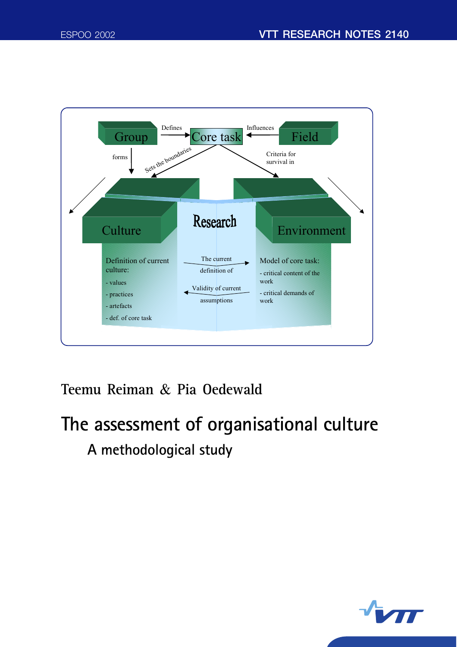

# **Teemu Reiman** & **Pia Oedewald**

# **The assessment of organisational culture A methodological study**

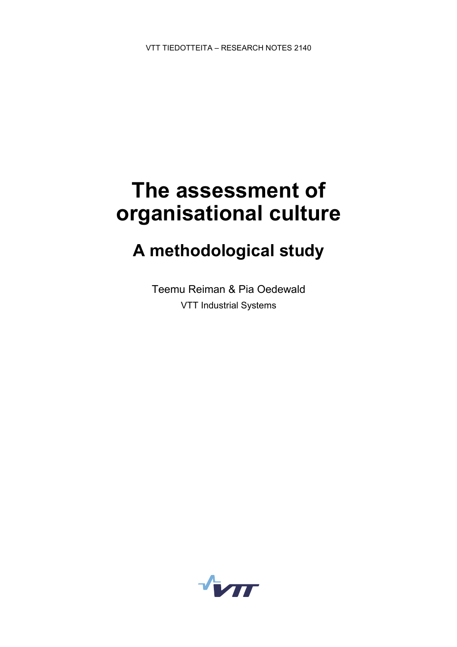# **The assessment of organisational culture**

# **A methodological study**

Teemu Reiman & Pia Oedewald VTT Industrial Systems

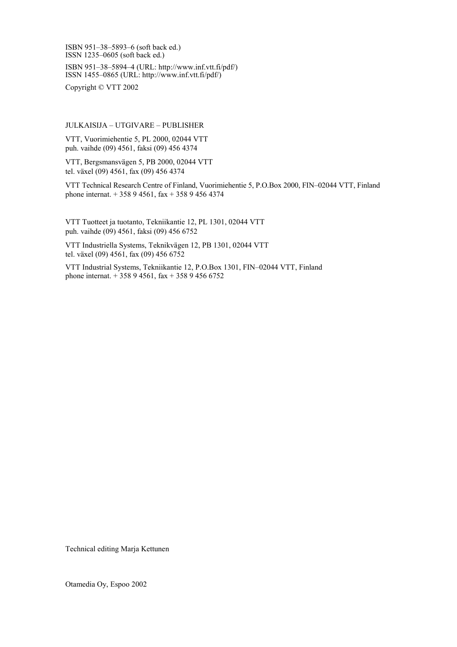ISBN 951-38-5893-6 (soft back ed.) ISSN 1235 $-0605$  (soft back ed.)

ISBN 951-38-5894-4 (URL: http://www.inf.vtt.fi/pdf/) ISSN 1455-0865 (URL: http://www.inf.vtt.fi/pdf/)

Copyright © VTT 2002

JULKAISIJA – UTGIVARE – PUBLISHER

VTT, Vuorimiehentie 5, PL 2000, 02044 VTT puh. vaihde (09) 4561, faksi (09) 456 4374

VTT, Bergsmansvägen 5, PB 2000, 02044 VTT tel. växel (09) 4561, fax (09) 456 4374

VTT Technical Research Centre of Finland, Vuorimiehentie 5, P.O.Box 2000, FIN-02044 VTT, Finland phone internat. + 358 9 4561, fax + 358 9 456 4374

VTT Tuotteet ja tuotanto, Tekniikantie 12, PL 1301, 02044 VTT puh. vaihde (09) 4561, faksi (09) 456 6752

VTT Industriella Systems, Teknikvägen 12, PB 1301, 02044 VTT tel. växel (09) 4561, fax (09) 456 6752

VTT Industrial Systems, Tekniikantie 12, P.O.Box 1301, FIN-02044 VTT, Finland phone internat.  $+ 35894561$ , fax  $+ 35894566752$ 

Technical editing Marja Kettunen

Otamedia Oy, Espoo 2002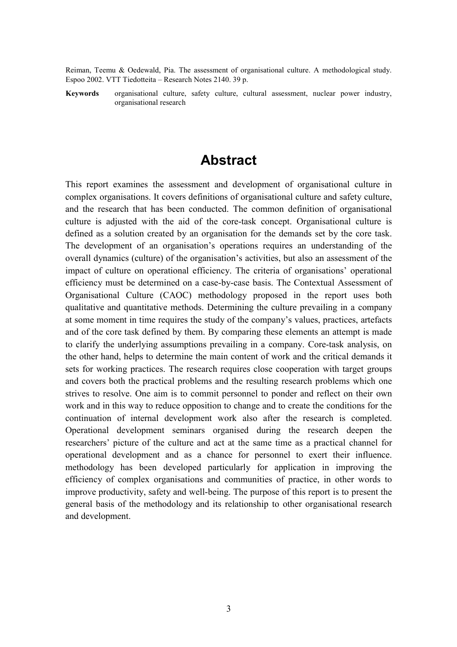Reiman, Teemu & Oedewald, Pia. The assessment of organisational culture. A methodological study. Espoo 2002. VTT Tiedotteita – Research Notes 2140. 39 p.

**Keywords** organisational culture, safety culture, cultural assessment, nuclear power industry, organisational research

# **Abstract**

This report examines the assessment and development of organisational culture in complex organisations. It covers definitions of organisational culture and safety culture, and the research that has been conducted. The common definition of organisational culture is adjusted with the aid of the core-task concept. Organisational culture is defined as a solution created by an organisation for the demands set by the core task. The development of an organisation's operations requires an understanding of the overall dynamics (culture) of the organisation's activities, but also an assessment of the impact of culture on operational efficiency. The criteria of organisations' operational efficiency must be determined on a case-by-case basis. The Contextual Assessment of Organisational Culture (CAOC) methodology proposed in the report uses both qualitative and quantitative methods. Determining the culture prevailing in a company at some moment in time requires the study of the company's values, practices, artefacts and of the core task defined by them. By comparing these elements an attempt is made to clarify the underlying assumptions prevailing in a company. Core-task analysis, on the other hand, helps to determine the main content of work and the critical demands it sets for working practices. The research requires close cooperation with target groups and covers both the practical problems and the resulting research problems which one strives to resolve. One aim is to commit personnel to ponder and reflect on their own work and in this way to reduce opposition to change and to create the conditions for the continuation of internal development work also after the research is completed. Operational development seminars organised during the research deepen the researchers' picture of the culture and act at the same time as a practical channel for operational development and as a chance for personnel to exert their influence. methodology has been developed particularly for application in improving the efficiency of complex organisations and communities of practice, in other words to improve productivity, safety and well-being. The purpose of this report is to present the general basis of the methodology and its relationship to other organisational research and development.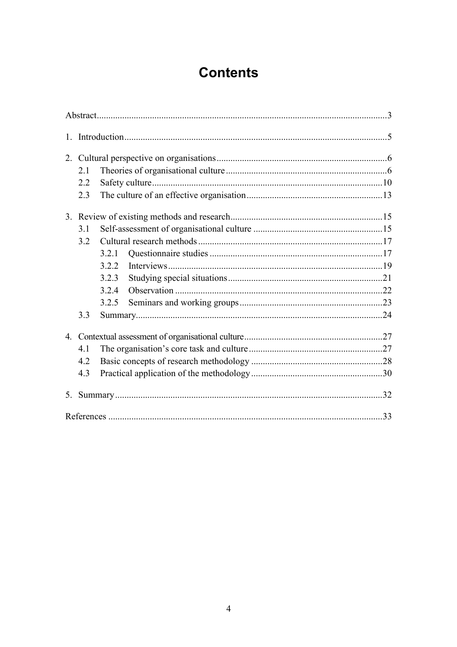# **Contents**

| 1.             |     |       |  |     |  |  |
|----------------|-----|-------|--|-----|--|--|
| 2.             |     |       |  |     |  |  |
|                | 2.1 |       |  |     |  |  |
|                | 2.2 |       |  |     |  |  |
|                | 2.3 |       |  |     |  |  |
|                |     |       |  |     |  |  |
|                | 3.1 |       |  |     |  |  |
|                | 3.2 |       |  |     |  |  |
|                |     | 3.2.1 |  |     |  |  |
|                |     | 3.2.2 |  |     |  |  |
|                |     | 3.2.3 |  |     |  |  |
|                |     | 3.2.4 |  |     |  |  |
|                |     | 3.2.5 |  |     |  |  |
|                | 3.3 |       |  |     |  |  |
|                |     |       |  |     |  |  |
|                | 4.1 |       |  |     |  |  |
|                | 4.2 |       |  |     |  |  |
|                | 4.3 |       |  |     |  |  |
| 5 <sub>1</sub> |     |       |  |     |  |  |
|                |     |       |  | .33 |  |  |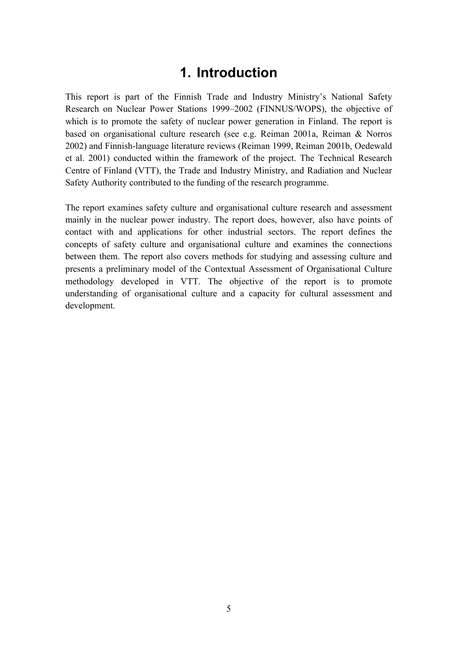# **1. Introduction**

This report is part of the Finnish Trade and Industry Ministry's National Safety Research on Nuclear Power Stations 1999–2002 (FINNUS/WOPS), the objective of which is to promote the safety of nuclear power generation in Finland. The report is based on organisational culture research (see e.g. Reiman 2001a, Reiman & Norros 2002) and Finnish-language literature reviews (Reiman 1999, Reiman 2001b, Oedewald et al. 2001) conducted within the framework of the project. The Technical Research Centre of Finland (VTT), the Trade and Industry Ministry, and Radiation and Nuclear Safety Authority contributed to the funding of the research programme.

The report examines safety culture and organisational culture research and assessment mainly in the nuclear power industry. The report does, however, also have points of contact with and applications for other industrial sectors. The report defines the concepts of safety culture and organisational culture and examines the connections between them. The report also covers methods for studying and assessing culture and presents a preliminary model of the Contextual Assessment of Organisational Culture methodology developed in VTT. The objective of the report is to promote understanding of organisational culture and a capacity for cultural assessment and development.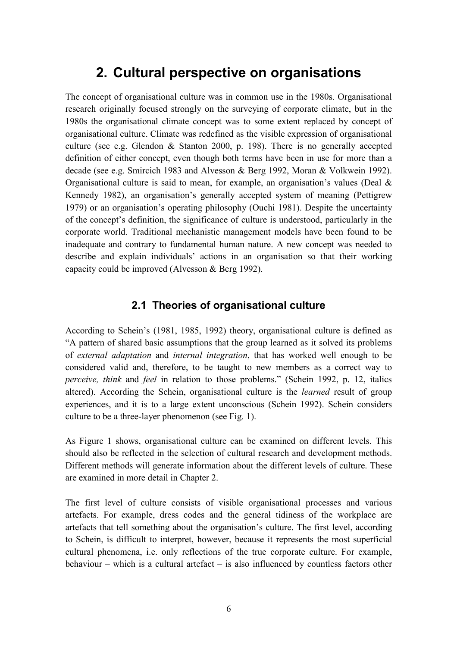# **2. Cultural perspective on organisations**

The concept of organisational culture was in common use in the 1980s. Organisational research originally focused strongly on the surveying of corporate climate, but in the 1980s the organisational climate concept was to some extent replaced by concept of organisational culture. Climate was redefined as the visible expression of organisational culture (see e.g. Glendon & Stanton 2000, p. 198). There is no generally accepted definition of either concept, even though both terms have been in use for more than a decade (see e.g. Smircich 1983 and Alvesson & Berg 1992, Moran & Volkwein 1992). Organisational culture is said to mean, for example, an organisation's values (Deal  $\&$ Kennedy 1982), an organisation's generally accepted system of meaning (Pettigrew 1979) or an organisation's operating philosophy (Ouchi 1981). Despite the uncertainty of the concept's definition, the significance of culture is understood, particularly in the corporate world. Traditional mechanistic management models have been found to be inadequate and contrary to fundamental human nature. A new concept was needed to describe and explain individuals' actions in an organisation so that their working capacity could be improved (Alvesson & Berg 1992).

### **2.1 Theories of organisational culture**

According to Schein's (1981, 1985, 1992) theory, organisational culture is defined as ìA pattern of shared basic assumptions that the group learned as it solved its problems of *external adaptation* and *internal integration*, that has worked well enough to be considered valid and, therefore, to be taught to new members as a correct way to *perceive, think* and *feel* in relation to those problems." (Schein 1992, p. 12, italics altered). According the Schein, organisational culture is the *learned* result of group experiences, and it is to a large extent unconscious (Schein 1992). Schein considers culture to be a three-layer phenomenon (see Fig. 1).

As Figure 1 shows, organisational culture can be examined on different levels. This should also be reflected in the selection of cultural research and development methods. Different methods will generate information about the different levels of culture. These are examined in more detail in Chapter 2.

The first level of culture consists of visible organisational processes and various artefacts. For example, dress codes and the general tidiness of the workplace are artefacts that tell something about the organisation's culture. The first level, according to Schein, is difficult to interpret, however, because it represents the most superficial cultural phenomena, i.e. only reflections of the true corporate culture. For example, behaviour  $-$  which is a cultural artefact  $-$  is also influenced by countless factors other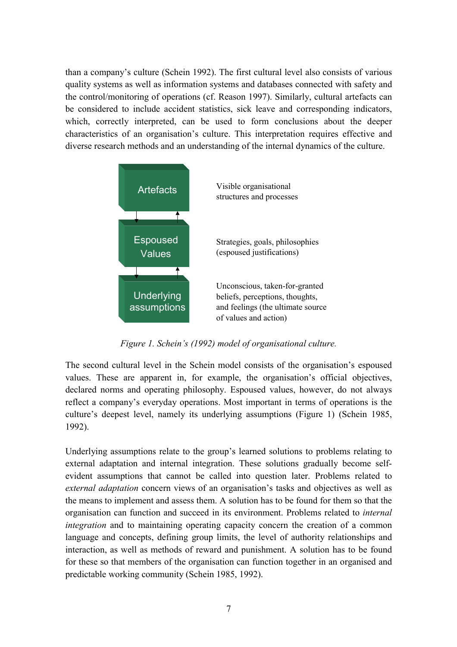than a company's culture (Schein 1992). The first cultural level also consists of various quality systems as well as information systems and databases connected with safety and the control/monitoring of operations (cf. Reason 1997). Similarly, cultural artefacts can be considered to include accident statistics, sick leave and corresponding indicators, which, correctly interpreted, can be used to form conclusions about the deeper characteristics of an organisation's culture. This interpretation requires effective and diverse research methods and an understanding of the internal dynamics of the culture.



*Figure 1. Scheinís (1992) model of organisational culture.*

The second cultural level in the Schein model consists of the organisation's espoused values. These are apparent in, for example, the organisation's official objectives, declared norms and operating philosophy. Espoused values, however, do not always reflect a company's everyday operations. Most important in terms of operations is the culture's deepest level, namely its underlying assumptions (Figure 1) (Schein 1985, 1992).

Underlying assumptions relate to the group's learned solutions to problems relating to external adaptation and internal integration. These solutions gradually become selfevident assumptions that cannot be called into question later. Problems related to *external adaptation* concern views of an organisation's tasks and objectives as well as the means to implement and assess them. A solution has to be found for them so that the organisation can function and succeed in its environment. Problems related to *internal integration* and to maintaining operating capacity concern the creation of a common language and concepts, defining group limits, the level of authority relationships and interaction, as well as methods of reward and punishment. A solution has to be found for these so that members of the organisation can function together in an organised and predictable working community (Schein 1985, 1992).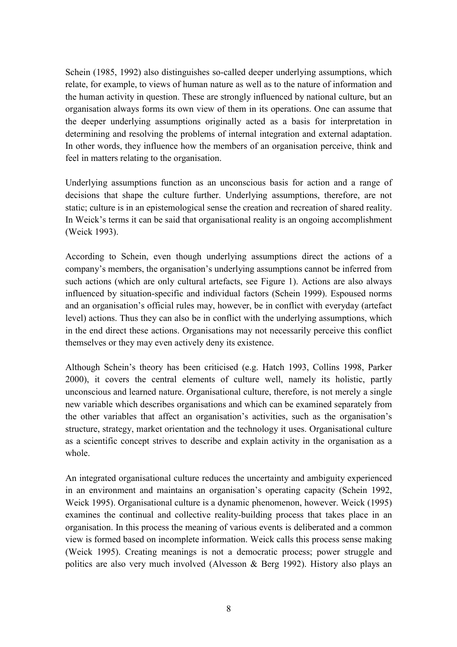Schein (1985, 1992) also distinguishes so-called deeper underlying assumptions, which relate, for example, to views of human nature as well as to the nature of information and the human activity in question. These are strongly influenced by national culture, but an organisation always forms its own view of them in its operations. One can assume that the deeper underlying assumptions originally acted as a basis for interpretation in determining and resolving the problems of internal integration and external adaptation. In other words, they influence how the members of an organisation perceive, think and feel in matters relating to the organisation.

Underlying assumptions function as an unconscious basis for action and a range of decisions that shape the culture further. Underlying assumptions, therefore, are not static; culture is in an epistemological sense the creation and recreation of shared reality. In Weick's terms it can be said that organisational reality is an ongoing accomplishment (Weick 1993).

According to Schein, even though underlying assumptions direct the actions of a company's members, the organisation's underlying assumptions cannot be inferred from such actions (which are only cultural artefacts, see Figure 1). Actions are also always influenced by situation-specific and individual factors (Schein 1999). Espoused norms and an organisation's official rules may, however, be in conflict with everyday (artefact level) actions. Thus they can also be in conflict with the underlying assumptions, which in the end direct these actions. Organisations may not necessarily perceive this conflict themselves or they may even actively deny its existence.

Although Schein's theory has been criticised (e.g. Hatch 1993, Collins 1998, Parker 2000), it covers the central elements of culture well, namely its holistic, partly unconscious and learned nature. Organisational culture, therefore, is not merely a single new variable which describes organisations and which can be examined separately from the other variables that affect an organisation's activities, such as the organisation's structure, strategy, market orientation and the technology it uses. Organisational culture as a scientific concept strives to describe and explain activity in the organisation as a whole.

An integrated organisational culture reduces the uncertainty and ambiguity experienced in an environment and maintains an organisation's operating capacity (Schein 1992, Weick 1995). Organisational culture is a dynamic phenomenon, however. Weick (1995) examines the continual and collective reality-building process that takes place in an organisation. In this process the meaning of various events is deliberated and a common view is formed based on incomplete information. Weick calls this process sense making (Weick 1995). Creating meanings is not a democratic process; power struggle and politics are also very much involved (Alvesson & Berg 1992). History also plays an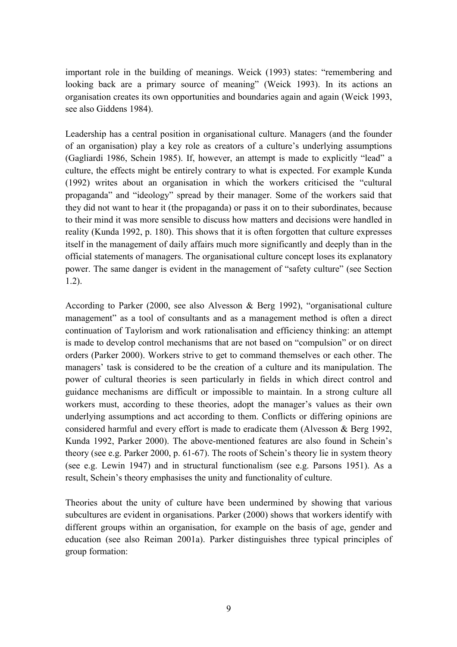important role in the building of meanings. Weick (1993) states: "remembering and looking back are a primary source of meaning" (Weick 1993). In its actions an organisation creates its own opportunities and boundaries again and again (Weick 1993, see also Giddens 1984).

Leadership has a central position in organisational culture. Managers (and the founder of an organisation) play a key role as creators of a culture's underlying assumptions (Gagliardi 1986, Schein 1985). If, however, an attempt is made to explicitly "lead" a culture, the effects might be entirely contrary to what is expected. For example Kunda  $(1992)$  writes about an organisation in which the workers criticised the "cultural" propaganda" and "ideology" spread by their manager. Some of the workers said that they did not want to hear it (the propaganda) or pass it on to their subordinates, because to their mind it was more sensible to discuss how matters and decisions were handled in reality (Kunda 1992, p. 180). This shows that it is often forgotten that culture expresses itself in the management of daily affairs much more significantly and deeply than in the official statements of managers. The organisational culture concept loses its explanatory power. The same danger is evident in the management of "safety culture" (see Section 1.2).

According to Parker (2000, see also Alvesson & Berg 1992), "organisational culture management" as a tool of consultants and as a management method is often a direct continuation of Taylorism and work rationalisation and efficiency thinking: an attempt is made to develop control mechanisms that are not based on "compulsion" or on direct orders (Parker 2000). Workers strive to get to command themselves or each other. The managers' task is considered to be the creation of a culture and its manipulation. The power of cultural theories is seen particularly in fields in which direct control and guidance mechanisms are difficult or impossible to maintain. In a strong culture all workers must, according to these theories, adopt the manager's values as their own underlying assumptions and act according to them. Conflicts or differing opinions are considered harmful and every effort is made to eradicate them (Alvesson & Berg 1992, Kunda 1992, Parker 2000). The above-mentioned features are also found in Schein's theory (see e.g. Parker 2000, p.  $61-67$ ). The roots of Schein's theory lie in system theory (see e.g. Lewin 1947) and in structural functionalism (see e.g. Parsons 1951). As a result, Schein's theory emphasises the unity and functionality of culture.

Theories about the unity of culture have been undermined by showing that various subcultures are evident in organisations. Parker (2000) shows that workers identify with different groups within an organisation, for example on the basis of age, gender and education (see also Reiman 2001a). Parker distinguishes three typical principles of group formation: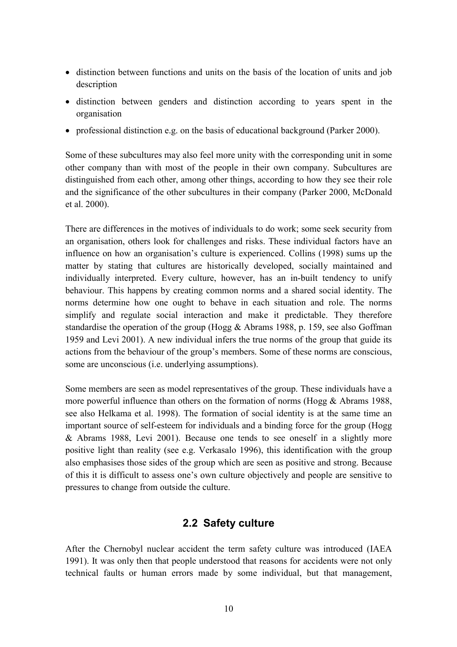- distinction between functions and units on the basis of the location of units and job description
- distinction between genders and distinction according to years spent in the organisation
- professional distinction e.g. on the basis of educational background (Parker 2000).

Some of these subcultures may also feel more unity with the corresponding unit in some other company than with most of the people in their own company. Subcultures are distinguished from each other, among other things, according to how they see their role and the significance of the other subcultures in their company (Parker 2000, McDonald et al. 2000).

There are differences in the motives of individuals to do work; some seek security from an organisation, others look for challenges and risks. These individual factors have an influence on how an organisation's culture is experienced. Collins (1998) sums up the matter by stating that cultures are historically developed, socially maintained and individually interpreted. Every culture, however, has an in-built tendency to unify behaviour. This happens by creating common norms and a shared social identity. The norms determine how one ought to behave in each situation and role. The norms simplify and regulate social interaction and make it predictable. They therefore standardise the operation of the group (Hogg & Abrams 1988, p. 159, see also Goffman 1959 and Levi 2001). A new individual infers the true norms of the group that guide its actions from the behaviour of the group's members. Some of these norms are conscious, some are unconscious (i.e. underlying assumptions).

Some members are seen as model representatives of the group. These individuals have a more powerful influence than others on the formation of norms (Hogg & Abrams 1988, see also Helkama et al. 1998). The formation of social identity is at the same time an important source of self-esteem for individuals and a binding force for the group (Hogg & Abrams 1988, Levi 2001). Because one tends to see oneself in a slightly more positive light than reality (see e.g. Verkasalo 1996), this identification with the group also emphasises those sides of the group which are seen as positive and strong. Because of this it is difficult to assess one's own culture objectively and people are sensitive to pressures to change from outside the culture.

## **2.2 Safety culture**

After the Chernobyl nuclear accident the term safety culture was introduced (IAEA 1991). It was only then that people understood that reasons for accidents were not only technical faults or human errors made by some individual, but that management,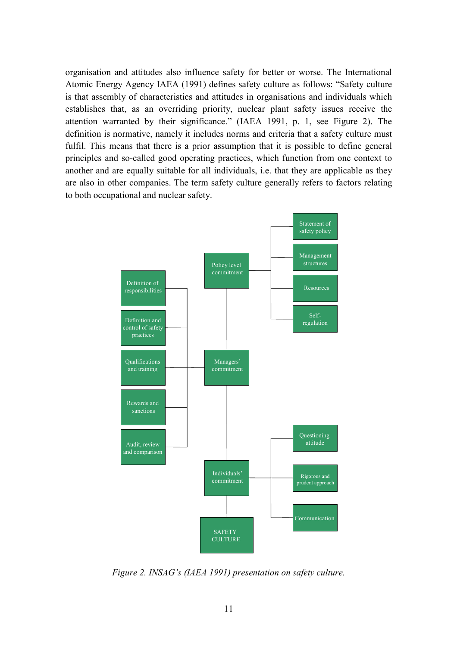organisation and attitudes also influence safety for better or worse. The International Atomic Energy Agency IAEA (1991) defines safety culture as follows: "Safety culture is that assembly of characteristics and attitudes in organisations and individuals which establishes that, as an overriding priority, nuclear plant safety issues receive the attention warranted by their significance." (IAEA 1991, p. 1, see Figure 2). The definition is normative, namely it includes norms and criteria that a safety culture must fulfil. This means that there is a prior assumption that it is possible to define general principles and so-called good operating practices, which function from one context to another and are equally suitable for all individuals, i.e. that they are applicable as they are also in other companies. The term safety culture generally refers to factors relating to both occupational and nuclear safety.



*Figure 2. INSAGís (IAEA 1991) presentation on safety culture.*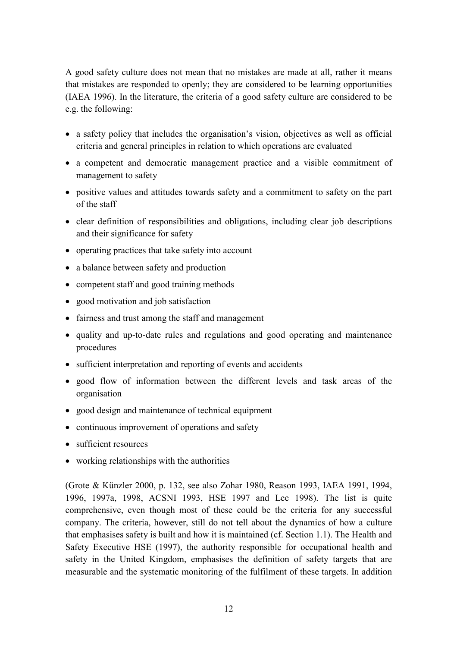A good safety culture does not mean that no mistakes are made at all, rather it means that mistakes are responded to openly; they are considered to be learning opportunities (IAEA 1996). In the literature, the criteria of a good safety culture are considered to be e.g. the following:

- a safety policy that includes the organisation's vision, objectives as well as official criteria and general principles in relation to which operations are evaluated
- a competent and democratic management practice and a visible commitment of management to safety
- positive values and attitudes towards safety and a commitment to safety on the part of the staff
- clear definition of responsibilities and obligations, including clear job descriptions and their significance for safety
- operating practices that take safety into account
- a balance between safety and production
- competent staff and good training methods
- good motivation and job satisfaction
- fairness and trust among the staff and management
- quality and up-to-date rules and regulations and good operating and maintenance procedures
- sufficient interpretation and reporting of events and accidents
- good flow of information between the different levels and task areas of the organisation
- good design and maintenance of technical equipment
- continuous improvement of operations and safety
- sufficient resources
- working relationships with the authorities

(Grote & Künzler 2000, p. 132, see also Zohar 1980, Reason 1993, IAEA 1991, 1994, 1996, 1997a, 1998, ACSNI 1993, HSE 1997 and Lee 1998). The list is quite comprehensive, even though most of these could be the criteria for any successful company. The criteria, however, still do not tell about the dynamics of how a culture that emphasises safety is built and how it is maintained (cf. Section 1.1). The Health and Safety Executive HSE (1997), the authority responsible for occupational health and safety in the United Kingdom, emphasises the definition of safety targets that are measurable and the systematic monitoring of the fulfilment of these targets. In addition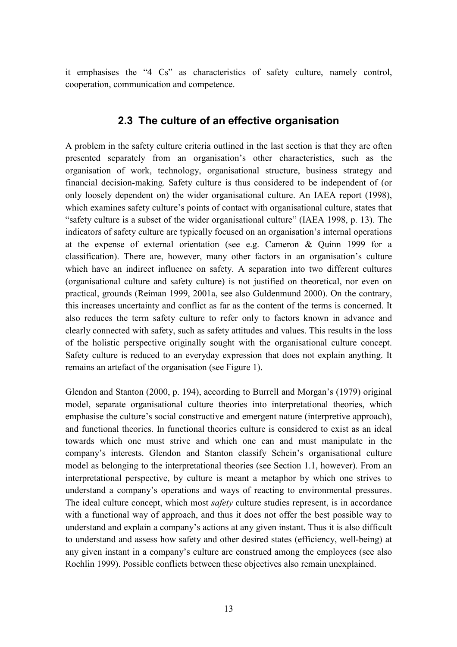it emphasises the "4 Cs" as characteristics of safety culture, namely control, cooperation, communication and competence.

### **2.3 The culture of an effective organisation**

A problem in the safety culture criteria outlined in the last section is that they are often presented separately from an organisation's other characteristics, such as the organisation of work, technology, organisational structure, business strategy and financial decision-making. Safety culture is thus considered to be independent of (or only loosely dependent on) the wider organisational culture. An IAEA report (1998), which examines safety culture's points of contact with organisational culture, states that "safety culture is a subset of the wider organisational culture" (IAEA 1998, p. 13). The indicators of safety culture are typically focused on an organisation's internal operations at the expense of external orientation (see e.g. Cameron & Quinn 1999 for a classification). There are, however, many other factors in an organisation's culture which have an indirect influence on safety. A separation into two different cultures (organisational culture and safety culture) is not justified on theoretical, nor even on practical, grounds (Reiman 1999, 2001a, see also Guldenmund 2000). On the contrary, this increases uncertainty and conflict as far as the content of the terms is concerned. It also reduces the term safety culture to refer only to factors known in advance and clearly connected with safety, such as safety attitudes and values. This results in the loss of the holistic perspective originally sought with the organisational culture concept. Safety culture is reduced to an everyday expression that does not explain anything. It remains an artefact of the organisation (see Figure 1).

Glendon and Stanton  $(2000, p. 194)$ , according to Burrell and Morgan's  $(1979)$  original model, separate organisational culture theories into interpretational theories, which emphasise the culture's social constructive and emergent nature (interpretive approach), and functional theories. In functional theories culture is considered to exist as an ideal towards which one must strive and which one can and must manipulate in the company's interests. Glendon and Stanton classify Schein's organisational culture model as belonging to the interpretational theories (see Section 1.1, however). From an interpretational perspective, by culture is meant a metaphor by which one strives to understand a company's operations and ways of reacting to environmental pressures. The ideal culture concept, which most *safety* culture studies represent, is in accordance with a functional way of approach, and thus it does not offer the best possible way to understand and explain a company's actions at any given instant. Thus it is also difficult to understand and assess how safety and other desired states (efficiency, well-being) at any given instant in a company's culture are construed among the employees (see also Rochlin 1999). Possible conflicts between these objectives also remain unexplained.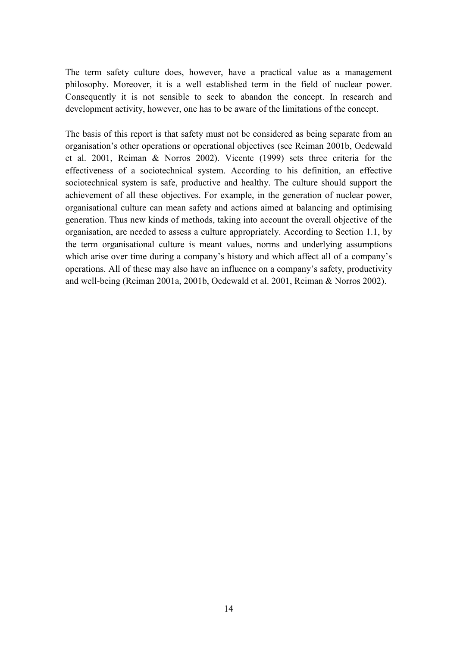The term safety culture does, however, have a practical value as a management philosophy. Moreover, it is a well established term in the field of nuclear power. Consequently it is not sensible to seek to abandon the concept. In research and development activity, however, one has to be aware of the limitations of the concept.

The basis of this report is that safety must not be considered as being separate from an organisation's other operations or operational objectives (see Reiman 2001b, Oedewald et al. 2001, Reiman & Norros 2002). Vicente (1999) sets three criteria for the effectiveness of a sociotechnical system. According to his definition, an effective sociotechnical system is safe, productive and healthy. The culture should support the achievement of all these objectives. For example, in the generation of nuclear power, organisational culture can mean safety and actions aimed at balancing and optimising generation. Thus new kinds of methods, taking into account the overall objective of the organisation, are needed to assess a culture appropriately. According to Section 1.1, by the term organisational culture is meant values, norms and underlying assumptions which arise over time during a company's history and which affect all of a company's operations. All of these may also have an influence on a company's safety, productivity and well-being (Reiman 2001a, 2001b, Oedewald et al. 2001, Reiman & Norros 2002).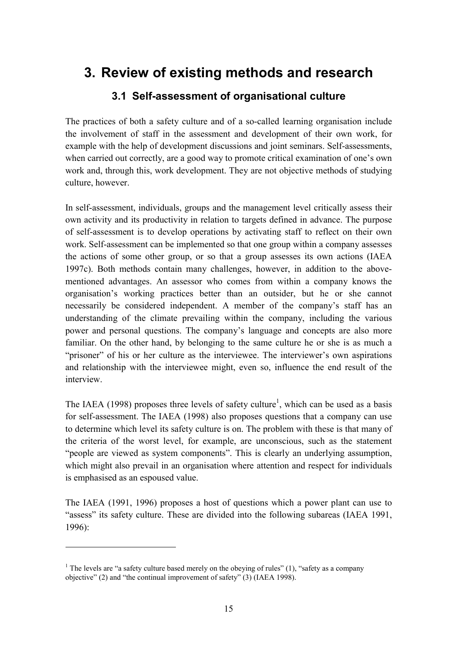# **3. Review of existing methods and research**

## **3.1 Self-assessment of organisational culture**

The practices of both a safety culture and of a so-called learning organisation include the involvement of staff in the assessment and development of their own work, for example with the help of development discussions and joint seminars. Self-assessments, when carried out correctly, are a good way to promote critical examination of one's own work and, through this, work development. They are not objective methods of studying culture, however.

In self-assessment, individuals, groups and the management level critically assess their own activity and its productivity in relation to targets defined in advance. The purpose of self-assessment is to develop operations by activating staff to reflect on their own work. Self-assessment can be implemented so that one group within a company assesses the actions of some other group, or so that a group assesses its own actions (IAEA 1997c). Both methods contain many challenges, however, in addition to the abovementioned advantages. An assessor who comes from within a company knows the organisationís working practices better than an outsider, but he or she cannot necessarily be considered independent. A member of the company's staff has an understanding of the climate prevailing within the company, including the various power and personal questions. The company's language and concepts are also more familiar. On the other hand, by belonging to the same culture he or she is as much a "prisoner" of his or her culture as the interviewee. The interviewer's own aspirations and relationship with the interviewee might, even so, influence the end result of the interview.

The IAEA (1998) proposes three levels of safety culture<sup>1</sup>, which can be used as a basis for self-assessment. The IAEA (1998) also proposes questions that a company can use to determine which level its safety culture is on. The problem with these is that many of the criteria of the worst level, for example, are unconscious, such as the statement ìpeople are viewed as system componentsî. This is clearly an underlying assumption, which might also prevail in an organisation where attention and respect for individuals is emphasised as an espoused value.

The IAEA (1991, 1996) proposes a host of questions which a power plant can use to "assess" its safety culture. These are divided into the following subareas (IAEA 1991, 1996):

 $\overline{a}$ 

<sup>&</sup>lt;sup>1</sup> The levels are "a safety culture based merely on the obeying of rules" (1), "safety as a company objective" (2) and "the continual improvement of safety"  $(3)$  (IAEA 1998).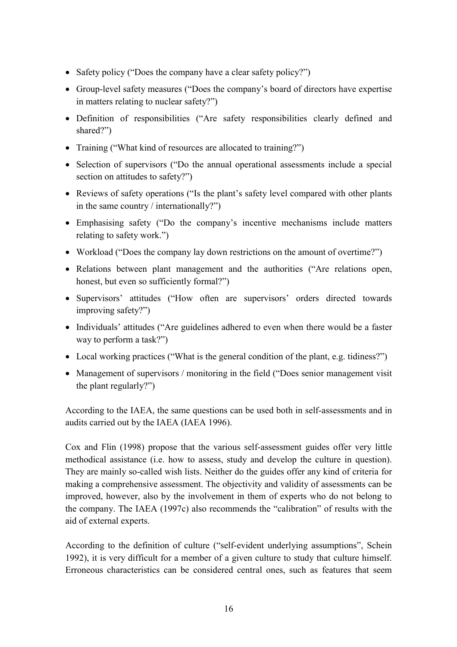- Safety policy ("Does the company have a clear safety policy?")
- Group-level safety measures ("Does the company's board of directors have expertise in matters relating to nuclear safety? $i$ )
- Definition of responsibilities ("Are safety responsibilities clearly defined and shared?")
- Training ("What kind of resources are allocated to training?")
- Selection of supervisors ("Do the annual operational assessments include a special section on attitudes to safety?")
- Reviews of safety operations ("Is the plant's safety level compared with other plants in the same country / internationally?")
- Emphasising safety ("Do the company's incentive mechanisms include matters relating to safety work.")
- Workload ("Does the company lay down restrictions on the amount of overtime?")
- Relations between plant management and the authorities ("Are relations open, honest, but even so sufficiently formal?")
- Supervisors' attitudes ("How often are supervisors' orders directed towards improving safety?")
- Individuals' attitudes ("Are guidelines adhered to even when there would be a faster way to perform a task?")
- Local working practices ("What is the general condition of the plant, e.g. tidiness?")
- Management of supervisors / monitoring in the field ( $\degree$ Does senior management visit the plant regularly?")

According to the IAEA, the same questions can be used both in self-assessments and in audits carried out by the IAEA (IAEA 1996).

Cox and Flin (1998) propose that the various self-assessment guides offer very little methodical assistance (i.e. how to assess, study and develop the culture in question). They are mainly so-called wish lists. Neither do the guides offer any kind of criteria for making a comprehensive assessment. The objectivity and validity of assessments can be improved, however, also by the involvement in them of experts who do not belong to the company. The IAEA (1997c) also recommends the "calibration" of results with the aid of external experts.

According to the definition of culture ("self-evident underlying assumptions", Schein 1992), it is very difficult for a member of a given culture to study that culture himself. Erroneous characteristics can be considered central ones, such as features that seem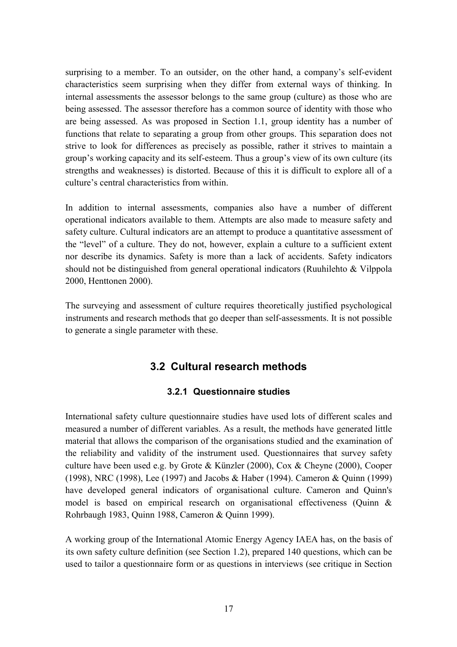surprising to a member. To an outsider, on the other hand, a company's self-evident characteristics seem surprising when they differ from external ways of thinking. In internal assessments the assessor belongs to the same group (culture) as those who are being assessed. The assessor therefore has a common source of identity with those who are being assessed. As was proposed in Section 1.1, group identity has a number of functions that relate to separating a group from other groups. This separation does not strive to look for differences as precisely as possible, rather it strives to maintain a group's working capacity and its self-esteem. Thus a group's view of its own culture (its strengths and weaknesses) is distorted. Because of this it is difficult to explore all of a culture's central characteristics from within.

In addition to internal assessments, companies also have a number of different operational indicators available to them. Attempts are also made to measure safety and safety culture. Cultural indicators are an attempt to produce a quantitative assessment of the "level" of a culture. They do not, however, explain a culture to a sufficient extent nor describe its dynamics. Safety is more than a lack of accidents. Safety indicators should not be distinguished from general operational indicators (Ruuhilehto  $&$  Vilppola 2000, Henttonen 2000).

The surveying and assessment of culture requires theoretically justified psychological instruments and research methods that go deeper than self-assessments. It is not possible to generate a single parameter with these.

## **3.2 Cultural research methods**

### **3.2.1 Questionnaire studies**

International safety culture questionnaire studies have used lots of different scales and measured a number of different variables. As a result, the methods have generated little material that allows the comparison of the organisations studied and the examination of the reliability and validity of the instrument used. Questionnaires that survey safety culture have been used e.g. by Grote & Künzler (2000), Cox & Cheyne (2000), Cooper (1998), NRC (1998), Lee (1997) and Jacobs & Haber (1994). Cameron & Quinn (1999) have developed general indicators of organisational culture. Cameron and Quinn's model is based on empirical research on organisational effectiveness (Quinn & Rohrbaugh 1983, Quinn 1988, Cameron & Quinn 1999).

A working group of the International Atomic Energy Agency IAEA has, on the basis of its own safety culture definition (see Section 1.2), prepared 140 questions, which can be used to tailor a questionnaire form or as questions in interviews (see critique in Section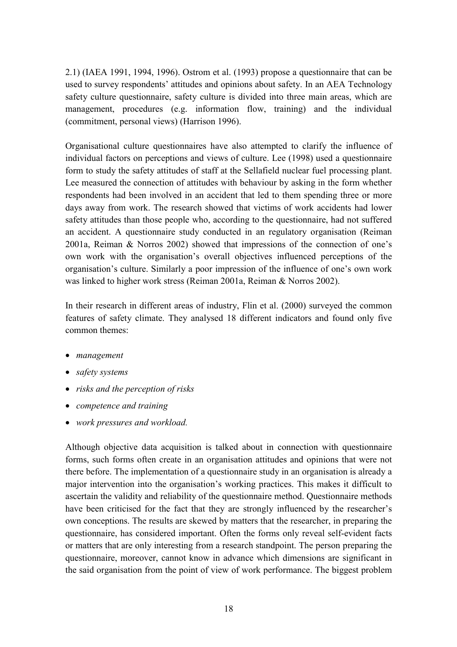2.1) (IAEA 1991, 1994, 1996). Ostrom et al. (1993) propose a questionnaire that can be used to survey respondents' attitudes and opinions about safety. In an AEA Technology safety culture questionnaire, safety culture is divided into three main areas, which are management, procedures (e.g. information flow, training) and the individual (commitment, personal views) (Harrison 1996).

Organisational culture questionnaires have also attempted to clarify the influence of individual factors on perceptions and views of culture. Lee (1998) used a questionnaire form to study the safety attitudes of staff at the Sellafield nuclear fuel processing plant. Lee measured the connection of attitudes with behaviour by asking in the form whether respondents had been involved in an accident that led to them spending three or more days away from work. The research showed that victims of work accidents had lower safety attitudes than those people who, according to the questionnaire, had not suffered an accident. A questionnaire study conducted in an regulatory organisation (Reiman  $2001a$ , Reiman & Norros  $2002$ ) showed that impressions of the connection of one's own work with the organisation's overall objectives influenced perceptions of the organisation's culture. Similarly a poor impression of the influence of one's own work was linked to higher work stress (Reiman 2001a, Reiman & Norros 2002).

In their research in different areas of industry, Flin et al. (2000) surveyed the common features of safety climate. They analysed 18 different indicators and found only five common themes:

- *management*
- *safety systems*
- *risks and the perception of risks*
- *competence and training*
- *work pressures and workload.*

Although objective data acquisition is talked about in connection with questionnaire forms, such forms often create in an organisation attitudes and opinions that were not there before. The implementation of a questionnaire study in an organisation is already a major intervention into the organisation's working practices. This makes it difficult to ascertain the validity and reliability of the questionnaire method. Questionnaire methods have been criticised for the fact that they are strongly influenced by the researcher's own conceptions. The results are skewed by matters that the researcher, in preparing the questionnaire, has considered important. Often the forms only reveal self-evident facts or matters that are only interesting from a research standpoint. The person preparing the questionnaire, moreover, cannot know in advance which dimensions are significant in the said organisation from the point of view of work performance. The biggest problem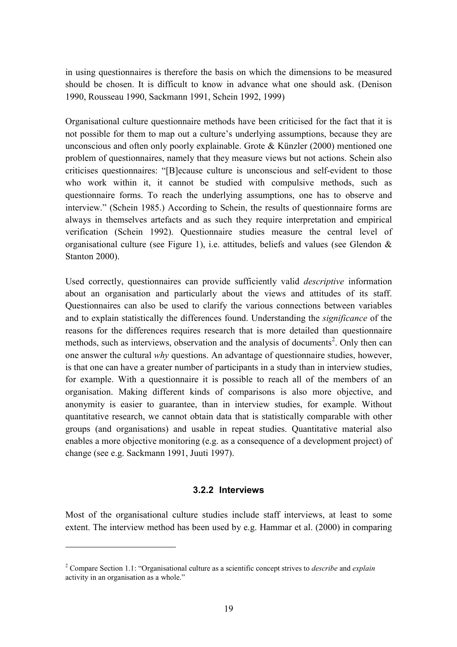in using questionnaires is therefore the basis on which the dimensions to be measured should be chosen. It is difficult to know in advance what one should ask. (Denison 1990, Rousseau 1990, Sackmann 1991, Schein 1992, 1999)

Organisational culture questionnaire methods have been criticised for the fact that it is not possible for them to map out a culture's underlying assumptions, because they are unconscious and often only poorly explainable. Grote  $&$  Künzler (2000) mentioned one problem of questionnaires, namely that they measure views but not actions. Schein also criticises questionnaires: "[B]ecause culture is unconscious and self-evident to those who work within it, it cannot be studied with compulsive methods, such as questionnaire forms. To reach the underlying assumptions, one has to observe and interview." (Schein 1985.) According to Schein, the results of questionnaire forms are always in themselves artefacts and as such they require interpretation and empirical verification (Schein 1992). Questionnaire studies measure the central level of organisational culture (see Figure 1), i.e. attitudes, beliefs and values (see Glendon  $\&$ Stanton 2000).

Used correctly, questionnaires can provide sufficiently valid *descriptive* information about an organisation and particularly about the views and attitudes of its staff. Questionnaires can also be used to clarify the various connections between variables and to explain statistically the differences found. Understanding the *significance* of the reasons for the differences requires research that is more detailed than questionnaire methods, such as interviews, observation and the analysis of documents<sup>2</sup>. Only then can one answer the cultural *why* questions. An advantage of questionnaire studies, however, is that one can have a greater number of participants in a study than in interview studies, for example. With a questionnaire it is possible to reach all of the members of an organisation. Making different kinds of comparisons is also more objective, and anonymity is easier to guarantee, than in interview studies, for example. Without quantitative research, we cannot obtain data that is statistically comparable with other groups (and organisations) and usable in repeat studies. Quantitative material also enables a more objective monitoring (e.g. as a consequence of a development project) of change (see e.g. Sackmann 1991, Juuti 1997).

#### **3.2.2 Interviews**

Most of the organisational culture studies include staff interviews, at least to some extent. The interview method has been used by e.g. Hammar et al. (2000) in comparing

 $\overline{a}$ 

<sup>&</sup>lt;sup>2</sup> Compare Section 1.1: "Organisational culture as a scientific concept strives to *describe* and *explain* activity in an organisation as a whole. $\degree$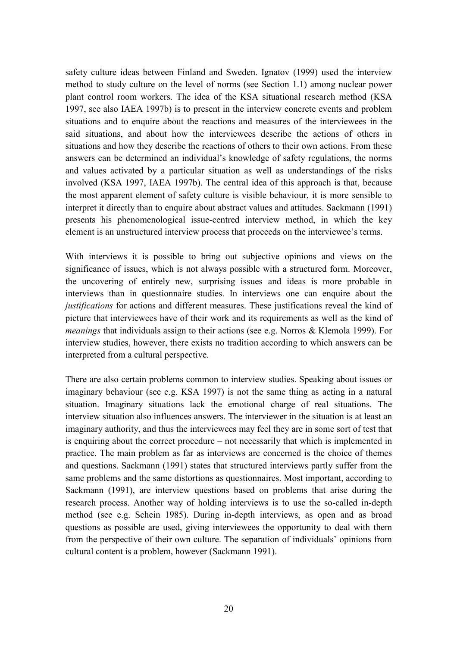safety culture ideas between Finland and Sweden. Ignatov (1999) used the interview method to study culture on the level of norms (see Section 1.1) among nuclear power plant control room workers. The idea of the KSA situational research method (KSA 1997, see also IAEA 1997b) is to present in the interview concrete events and problem situations and to enquire about the reactions and measures of the interviewees in the said situations, and about how the interviewees describe the actions of others in situations and how they describe the reactions of others to their own actions. From these answers can be determined an individual's knowledge of safety regulations, the norms and values activated by a particular situation as well as understandings of the risks involved (KSA 1997, IAEA 1997b). The central idea of this approach is that, because the most apparent element of safety culture is visible behaviour, it is more sensible to interpret it directly than to enquire about abstract values and attitudes. Sackmann (1991) presents his phenomenological issue-centred interview method, in which the key element is an unstructured interview process that proceeds on the interviewee's terms.

With interviews it is possible to bring out subjective opinions and views on the significance of issues, which is not always possible with a structured form. Moreover, the uncovering of entirely new, surprising issues and ideas is more probable in interviews than in questionnaire studies. In interviews one can enquire about the *justifications* for actions and different measures. These justifications reveal the kind of picture that interviewees have of their work and its requirements as well as the kind of *meanings* that individuals assign to their actions (see e.g. Norros & Klemola 1999). For interview studies, however, there exists no tradition according to which answers can be interpreted from a cultural perspective.

There are also certain problems common to interview studies. Speaking about issues or imaginary behaviour (see e.g. KSA 1997) is not the same thing as acting in a natural situation. Imaginary situations lack the emotional charge of real situations. The interview situation also influences answers. The interviewer in the situation is at least an imaginary authority, and thus the interviewees may feel they are in some sort of test that is enquiring about the correct procedure  $-$  not necessarily that which is implemented in practice. The main problem as far as interviews are concerned is the choice of themes and questions. Sackmann (1991) states that structured interviews partly suffer from the same problems and the same distortions as questionnaires. Most important, according to Sackmann (1991), are interview questions based on problems that arise during the research process. Another way of holding interviews is to use the so-called in-depth method (see e.g. Schein 1985). During in-depth interviews, as open and as broad questions as possible are used, giving interviewees the opportunity to deal with them from the perspective of their own culture. The separation of individuals' opinions from cultural content is a problem, however (Sackmann 1991).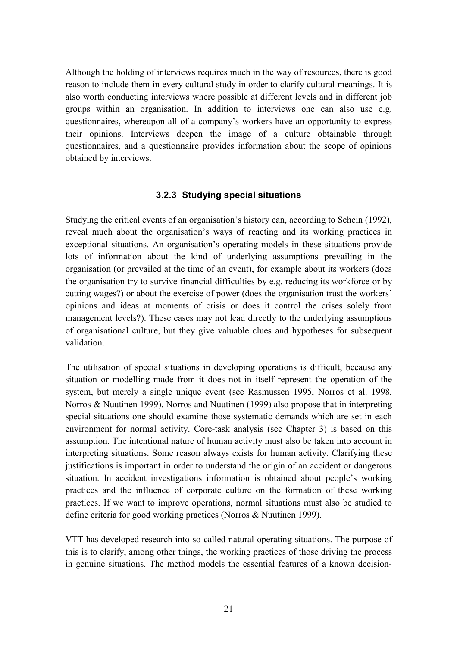Although the holding of interviews requires much in the way of resources, there is good reason to include them in every cultural study in order to clarify cultural meanings. It is also worth conducting interviews where possible at different levels and in different job groups within an organisation. In addition to interviews one can also use e.g. questionnaires, whereupon all of a company's workers have an opportunity to express their opinions. Interviews deepen the image of a culture obtainable through questionnaires, and a questionnaire provides information about the scope of opinions obtained by interviews.

#### **3.2.3 Studying special situations**

Studying the critical events of an organisation's history can, according to Schein (1992), reveal much about the organisation's ways of reacting and its working practices in exceptional situations. An organisation's operating models in these situations provide lots of information about the kind of underlying assumptions prevailing in the organisation (or prevailed at the time of an event), for example about its workers (does the organisation try to survive financial difficulties by e.g. reducing its workforce or by cutting wages?) or about the exercise of power (does the organisation trust the workers' opinions and ideas at moments of crisis or does it control the crises solely from management levels?). These cases may not lead directly to the underlying assumptions of organisational culture, but they give valuable clues and hypotheses for subsequent validation.

The utilisation of special situations in developing operations is difficult, because any situation or modelling made from it does not in itself represent the operation of the system, but merely a single unique event (see Rasmussen 1995, Norros et al. 1998, Norros & Nuutinen 1999). Norros and Nuutinen (1999) also propose that in interpreting special situations one should examine those systematic demands which are set in each environment for normal activity. Core-task analysis (see Chapter 3) is based on this assumption. The intentional nature of human activity must also be taken into account in interpreting situations. Some reason always exists for human activity. Clarifying these justifications is important in order to understand the origin of an accident or dangerous situation. In accident investigations information is obtained about people's working practices and the influence of corporate culture on the formation of these working practices. If we want to improve operations, normal situations must also be studied to define criteria for good working practices (Norros & Nuutinen 1999).

VTT has developed research into so-called natural operating situations. The purpose of this is to clarify, among other things, the working practices of those driving the process in genuine situations. The method models the essential features of a known decision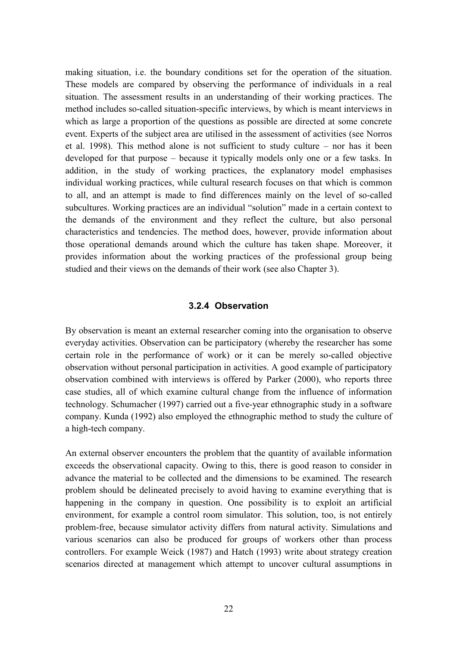making situation, i.e. the boundary conditions set for the operation of the situation. These models are compared by observing the performance of individuals in a real situation. The assessment results in an understanding of their working practices. The method includes so-called situation-specific interviews, by which is meant interviews in which as large a proportion of the questions as possible are directed at some concrete event. Experts of the subject area are utilised in the assessment of activities (see Norros et al. 1998). This method alone is not sufficient to study culture  $-$  nor has it been developed for that purpose  $-$  because it typically models only one or a few tasks. In addition, in the study of working practices, the explanatory model emphasises individual working practices, while cultural research focuses on that which is common to all, and an attempt is made to find differences mainly on the level of so-called subcultures. Working practices are an individual "solution" made in a certain context to the demands of the environment and they reflect the culture, but also personal characteristics and tendencies. The method does, however, provide information about those operational demands around which the culture has taken shape. Moreover, it provides information about the working practices of the professional group being studied and their views on the demands of their work (see also Chapter 3).

#### **3.2.4 Observation**

By observation is meant an external researcher coming into the organisation to observe everyday activities. Observation can be participatory (whereby the researcher has some certain role in the performance of work) or it can be merely so-called objective observation without personal participation in activities. A good example of participatory observation combined with interviews is offered by Parker (2000), who reports three case studies, all of which examine cultural change from the influence of information technology. Schumacher (1997) carried out a five-year ethnographic study in a software company. Kunda (1992) also employed the ethnographic method to study the culture of a high-tech company.

An external observer encounters the problem that the quantity of available information exceeds the observational capacity. Owing to this, there is good reason to consider in advance the material to be collected and the dimensions to be examined. The research problem should be delineated precisely to avoid having to examine everything that is happening in the company in question. One possibility is to exploit an artificial environment, for example a control room simulator. This solution, too, is not entirely problem-free, because simulator activity differs from natural activity. Simulations and various scenarios can also be produced for groups of workers other than process controllers. For example Weick (1987) and Hatch (1993) write about strategy creation scenarios directed at management which attempt to uncover cultural assumptions in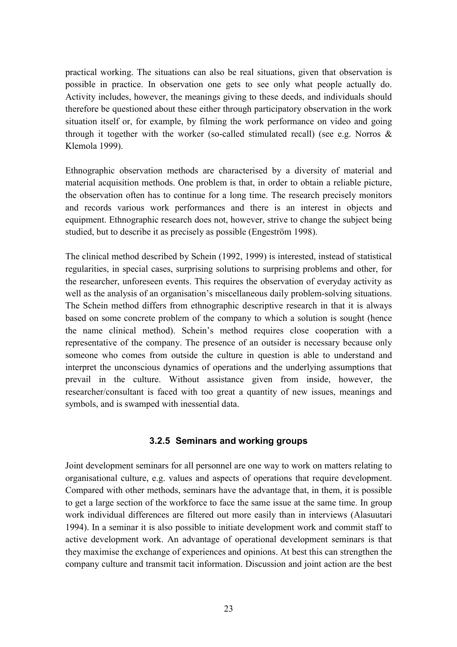practical working. The situations can also be real situations, given that observation is possible in practice. In observation one gets to see only what people actually do. Activity includes, however, the meanings giving to these deeds, and individuals should therefore be questioned about these either through participatory observation in the work situation itself or, for example, by filming the work performance on video and going through it together with the worker (so-called stimulated recall) (see e.g. Norros  $\&$ Klemola 1999).

Ethnographic observation methods are characterised by a diversity of material and material acquisition methods. One problem is that, in order to obtain a reliable picture, the observation often has to continue for a long time. The research precisely monitors and records various work performances and there is an interest in objects and equipment. Ethnographic research does not, however, strive to change the subject being studied, but to describe it as precisely as possible (Engeström 1998).

The clinical method described by Schein (1992, 1999) is interested, instead of statistical regularities, in special cases, surprising solutions to surprising problems and other, for the researcher, unforeseen events. This requires the observation of everyday activity as well as the analysis of an organisation's miscellaneous daily problem-solving situations. The Schein method differs from ethnographic descriptive research in that it is always based on some concrete problem of the company to which a solution is sought (hence the name clinical method). Schein's method requires close cooperation with a representative of the company. The presence of an outsider is necessary because only someone who comes from outside the culture in question is able to understand and interpret the unconscious dynamics of operations and the underlying assumptions that prevail in the culture. Without assistance given from inside, however, the researcher/consultant is faced with too great a quantity of new issues, meanings and symbols, and is swamped with inessential data.

#### **3.2.5 Seminars and working groups**

Joint development seminars for all personnel are one way to work on matters relating to organisational culture, e.g. values and aspects of operations that require development. Compared with other methods, seminars have the advantage that, in them, it is possible to get a large section of the workforce to face the same issue at the same time. In group work individual differences are filtered out more easily than in interviews (Alasuutari 1994). In a seminar it is also possible to initiate development work and commit staff to active development work. An advantage of operational development seminars is that they maximise the exchange of experiences and opinions. At best this can strengthen the company culture and transmit tacit information. Discussion and joint action are the best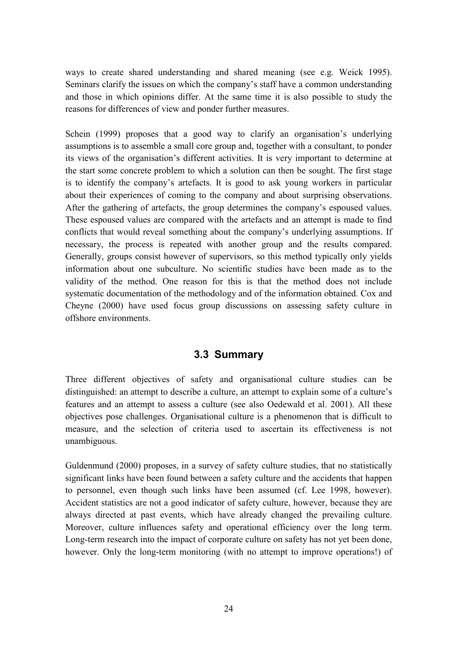ways to create shared understanding and shared meaning (see e.g. Weick 1995). Seminars clarify the issues on which the company's staff have a common understanding and those in which opinions differ. At the same time it is also possible to study the reasons for differences of view and ponder further measures.

Schein (1999) proposes that a good way to clarify an organisation's underlying assumptions is to assemble a small core group and, together with a consultant, to ponder its views of the organisation's different activities. It is very important to determine at the start some concrete problem to which a solution can then be sought. The first stage is to identify the company's artefacts. It is good to ask young workers in particular about their experiences of coming to the company and about surprising observations. After the gathering of artefacts, the group determines the company's espoused values. These espoused values are compared with the artefacts and an attempt is made to find conflicts that would reveal something about the company's underlying assumptions. If necessary, the process is repeated with another group and the results compared. Generally, groups consist however of supervisors, so this method typically only yields information about one subculture. No scientific studies have been made as to the validity of the method. One reason for this is that the method does not include systematic documentation of the methodology and of the information obtained. Cox and Cheyne (2000) have used focus group discussions on assessing safety culture in offshore environments.

### **3.3 Summary**

Three different objectives of safety and organisational culture studies can be distinguished: an attempt to describe a culture, an attempt to explain some of a culture's features and an attempt to assess a culture (see also Oedewald et al. 2001). All these objectives pose challenges. Organisational culture is a phenomenon that is difficult to measure, and the selection of criteria used to ascertain its effectiveness is not unambiguous.

Guldenmund (2000) proposes, in a survey of safety culture studies, that no statistically significant links have been found between a safety culture and the accidents that happen to personnel, even though such links have been assumed (cf. Lee 1998, however). Accident statistics are not a good indicator of safety culture, however, because they are always directed at past events, which have already changed the prevailing culture. Moreover, culture influences safety and operational efficiency over the long term. Long-term research into the impact of corporate culture on safety has not yet been done, however. Only the long-term monitoring (with no attempt to improve operations!) of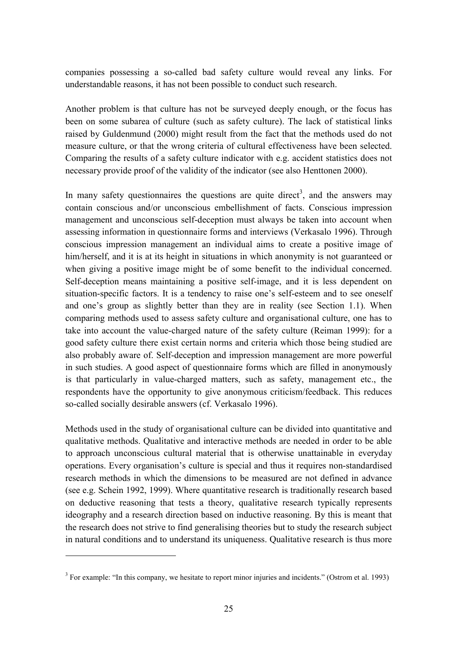companies possessing a so-called bad safety culture would reveal any links. For understandable reasons, it has not been possible to conduct such research.

Another problem is that culture has not be surveyed deeply enough, or the focus has been on some subarea of culture (such as safety culture). The lack of statistical links raised by Guldenmund (2000) might result from the fact that the methods used do not measure culture, or that the wrong criteria of cultural effectiveness have been selected. Comparing the results of a safety culture indicator with e.g. accident statistics does not necessary provide proof of the validity of the indicator (see also Henttonen 2000).

In many safety questionnaires the questions are quite direct<sup>3</sup>, and the answers may contain conscious and/or unconscious embellishment of facts. Conscious impression management and unconscious self-deception must always be taken into account when assessing information in questionnaire forms and interviews (Verkasalo 1996). Through conscious impression management an individual aims to create a positive image of him/herself, and it is at its height in situations in which anonymity is not guaranteed or when giving a positive image might be of some benefit to the individual concerned. Self-deception means maintaining a positive self-image, and it is less dependent on situation-specific factors. It is a tendency to raise one's self-esteem and to see oneself and one's group as slightly better than they are in reality (see Section 1.1). When comparing methods used to assess safety culture and organisational culture, one has to take into account the value-charged nature of the safety culture (Reiman 1999): for a good safety culture there exist certain norms and criteria which those being studied are also probably aware of. Self-deception and impression management are more powerful in such studies. A good aspect of questionnaire forms which are filled in anonymously is that particularly in value-charged matters, such as safety, management etc., the respondents have the opportunity to give anonymous criticism/feedback. This reduces so-called socially desirable answers (cf. Verkasalo 1996).

Methods used in the study of organisational culture can be divided into quantitative and qualitative methods. Qualitative and interactive methods are needed in order to be able to approach unconscious cultural material that is otherwise unattainable in everyday operations. Every organisation's culture is special and thus it requires non-standardised research methods in which the dimensions to be measured are not defined in advance (see e.g. Schein 1992, 1999). Where quantitative research is traditionally research based on deductive reasoning that tests a theory, qualitative research typically represents ideography and a research direction based on inductive reasoning. By this is meant that the research does not strive to find generalising theories but to study the research subject in natural conditions and to understand its uniqueness. Qualitative research is thus more

 $\overline{a}$ 

 $3$  For example: "In this company, we hesitate to report minor injuries and incidents." (Ostrom et al. 1993)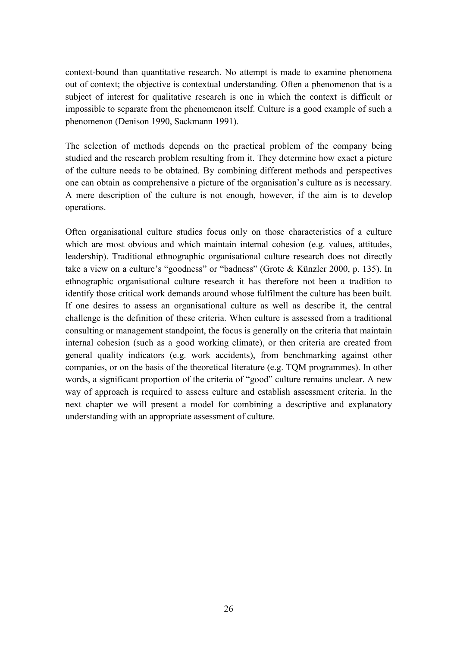context-bound than quantitative research. No attempt is made to examine phenomena out of context; the objective is contextual understanding. Often a phenomenon that is a subject of interest for qualitative research is one in which the context is difficult or impossible to separate from the phenomenon itself. Culture is a good example of such a phenomenon (Denison 1990, Sackmann 1991).

The selection of methods depends on the practical problem of the company being studied and the research problem resulting from it. They determine how exact a picture of the culture needs to be obtained. By combining different methods and perspectives one can obtain as comprehensive a picture of the organisation's culture as is necessary. A mere description of the culture is not enough, however, if the aim is to develop operations.

Often organisational culture studies focus only on those characteristics of a culture which are most obvious and which maintain internal cohesion (e.g. values, attitudes, leadership). Traditional ethnographic organisational culture research does not directly take a view on a culture's "goodness" or "badness" (Grote & Künzler 2000, p. 135). In ethnographic organisational culture research it has therefore not been a tradition to identify those critical work demands around whose fulfilment the culture has been built. If one desires to assess an organisational culture as well as describe it, the central challenge is the definition of these criteria. When culture is assessed from a traditional consulting or management standpoint, the focus is generally on the criteria that maintain internal cohesion (such as a good working climate), or then criteria are created from general quality indicators (e.g. work accidents), from benchmarking against other companies, or on the basis of the theoretical literature (e.g. TQM programmes). In other words, a significant proportion of the criteria of "good" culture remains unclear. A new way of approach is required to assess culture and establish assessment criteria. In the next chapter we will present a model for combining a descriptive and explanatory understanding with an appropriate assessment of culture.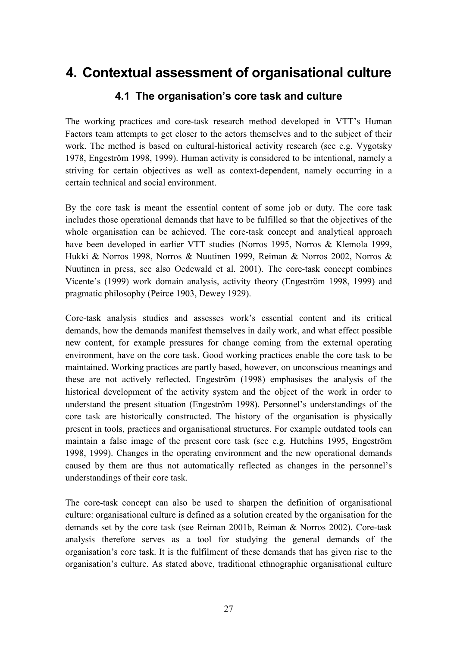# **4. Contextual assessment of organisational culture**

### **4.1 The organisation's core task and culture**

The working practices and core-task research method developed in VTT's Human Factors team attempts to get closer to the actors themselves and to the subject of their work. The method is based on cultural-historical activity research (see e.g. Vygotsky 1978, Engeström 1998, 1999). Human activity is considered to be intentional, namely a striving for certain objectives as well as context-dependent, namely occurring in a certain technical and social environment.

By the core task is meant the essential content of some job or duty. The core task includes those operational demands that have to be fulfilled so that the objectives of the whole organisation can be achieved. The core-task concept and analytical approach have been developed in earlier VTT studies (Norros 1995, Norros & Klemola 1999, Hukki & Norros 1998, Norros & Nuutinen 1999, Reiman & Norros 2002, Norros & Nuutinen in press, see also Oedewald et al. 2001). The core-task concept combines Vicente's (1999) work domain analysis, activity theory (Engeström 1998, 1999) and pragmatic philosophy (Peirce 1903, Dewey 1929).

Core-task analysis studies and assesses work's essential content and its critical demands, how the demands manifest themselves in daily work, and what effect possible new content, for example pressures for change coming from the external operating environment, have on the core task. Good working practices enable the core task to be maintained. Working practices are partly based, however, on unconscious meanings and these are not actively reflected. Engeström (1998) emphasises the analysis of the historical development of the activity system and the object of the work in order to understand the present situation (Engeström 1998). Personnel's understandings of the core task are historically constructed. The history of the organisation is physically present in tools, practices and organisational structures. For example outdated tools can maintain a false image of the present core task (see e.g. Hutchins 1995, Engeström 1998, 1999). Changes in the operating environment and the new operational demands caused by them are thus not automatically reflected as changes in the personnel's understandings of their core task.

The core-task concept can also be used to sharpen the definition of organisational culture: organisational culture is defined as a solution created by the organisation for the demands set by the core task (see Reiman 2001b, Reiman & Norros 2002). Core-task analysis therefore serves as a tool for studying the general demands of the organisation's core task. It is the fulfilment of these demands that has given rise to the organisation's culture. As stated above, traditional ethnographic organisational culture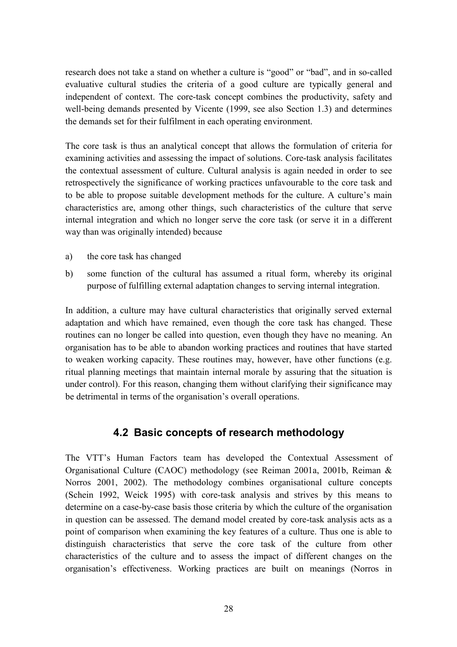research does not take a stand on whether a culture is "good" or "bad", and in so-called evaluative cultural studies the criteria of a good culture are typically general and independent of context. The core-task concept combines the productivity, safety and well-being demands presented by Vicente (1999, see also Section 1.3) and determines the demands set for their fulfilment in each operating environment.

The core task is thus an analytical concept that allows the formulation of criteria for examining activities and assessing the impact of solutions. Core-task analysis facilitates the contextual assessment of culture. Cultural analysis is again needed in order to see retrospectively the significance of working practices unfavourable to the core task and to be able to propose suitable development methods for the culture. A culture's main characteristics are, among other things, such characteristics of the culture that serve internal integration and which no longer serve the core task (or serve it in a different way than was originally intended) because

- a) the core task has changed
- b) some function of the cultural has assumed a ritual form, whereby its original purpose of fulfilling external adaptation changes to serving internal integration.

In addition, a culture may have cultural characteristics that originally served external adaptation and which have remained, even though the core task has changed. These routines can no longer be called into question, even though they have no meaning. An organisation has to be able to abandon working practices and routines that have started to weaken working capacity. These routines may, however, have other functions (e.g. ritual planning meetings that maintain internal morale by assuring that the situation is under control). For this reason, changing them without clarifying their significance may be detrimental in terms of the organisation's overall operations.

### **4.2 Basic concepts of research methodology**

The VTT's Human Factors team has developed the Contextual Assessment of Organisational Culture (CAOC) methodology (see Reiman 2001a, 2001b, Reiman & Norros 2001, 2002). The methodology combines organisational culture concepts (Schein 1992, Weick 1995) with core-task analysis and strives by this means to determine on a case-by-case basis those criteria by which the culture of the organisation in question can be assessed. The demand model created by core-task analysis acts as a point of comparison when examining the key features of a culture. Thus one is able to distinguish characteristics that serve the core task of the culture from other characteristics of the culture and to assess the impact of different changes on the organisation's effectiveness. Working practices are built on meanings (Norros in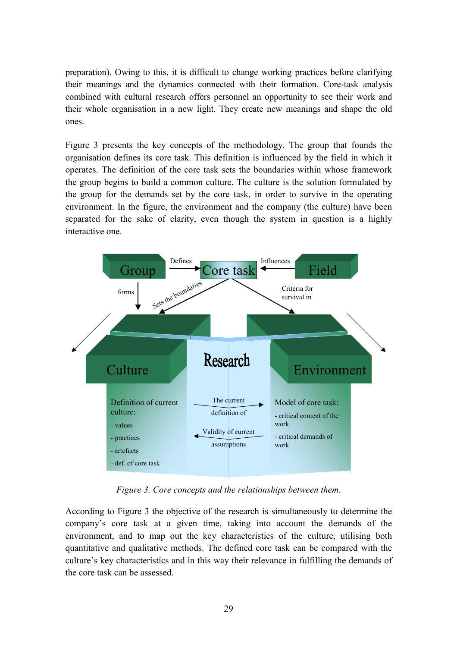preparation). Owing to this, it is difficult to change working practices before clarifying their meanings and the dynamics connected with their formation. Core-task analysis combined with cultural research offers personnel an opportunity to see their work and their whole organisation in a new light. They create new meanings and shape the old ones.

Figure 3 presents the key concepts of the methodology. The group that founds the organisation defines its core task. This definition is influenced by the field in which it operates. The definition of the core task sets the boundaries within whose framework the group begins to build a common culture. The culture is the solution formulated by the group for the demands set by the core task, in order to survive in the operating environment. In the figure, the environment and the company (the culture) have been separated for the sake of clarity, even though the system in question is a highly interactive one.



*Figure 3. Core concepts and the relationships between them.*

According to Figure 3 the objective of the research is simultaneously to determine the companyís core task at a given time, taking into account the demands of the environment, and to map out the key characteristics of the culture, utilising both quantitative and qualitative methods. The defined core task can be compared with the culture's key characteristics and in this way their relevance in fulfilling the demands of the core task can be assessed.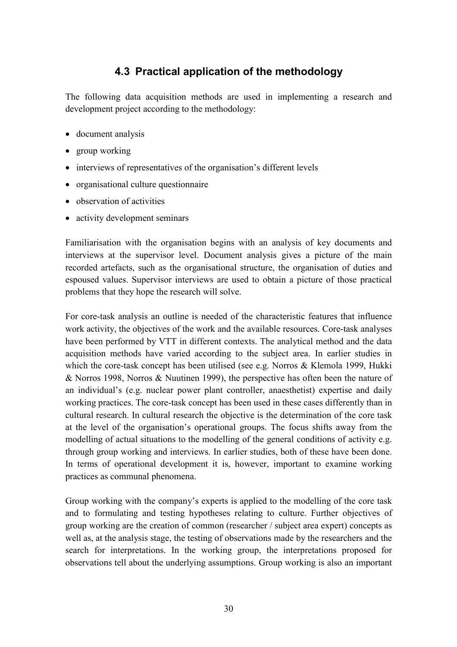## **4.3 Practical application of the methodology**

The following data acquisition methods are used in implementing a research and development project according to the methodology:

- document analysis
- group working
- interviews of representatives of the organisation's different levels
- organisational culture questionnaire
- observation of activities
- activity development seminars

Familiarisation with the organisation begins with an analysis of key documents and interviews at the supervisor level. Document analysis gives a picture of the main recorded artefacts, such as the organisational structure, the organisation of duties and espoused values. Supervisor interviews are used to obtain a picture of those practical problems that they hope the research will solve.

For core-task analysis an outline is needed of the characteristic features that influence work activity, the objectives of the work and the available resources. Core-task analyses have been performed by VTT in different contexts. The analytical method and the data acquisition methods have varied according to the subject area. In earlier studies in which the core-task concept has been utilised (see e.g. Norros & Klemola 1999, Hukki & Norros 1998, Norros & Nuutinen 1999), the perspective has often been the nature of an individual's (e.g. nuclear power plant controller, anaesthetist) expertise and daily working practices. The core-task concept has been used in these cases differently than in cultural research. In cultural research the objective is the determination of the core task at the level of the organisation's operational groups. The focus shifts away from the modelling of actual situations to the modelling of the general conditions of activity e.g. through group working and interviews. In earlier studies, both of these have been done. In terms of operational development it is, however, important to examine working practices as communal phenomena.

Group working with the company's experts is applied to the modelling of the core task and to formulating and testing hypotheses relating to culture. Further objectives of group working are the creation of common (researcher / subject area expert) concepts as well as, at the analysis stage, the testing of observations made by the researchers and the search for interpretations. In the working group, the interpretations proposed for observations tell about the underlying assumptions. Group working is also an important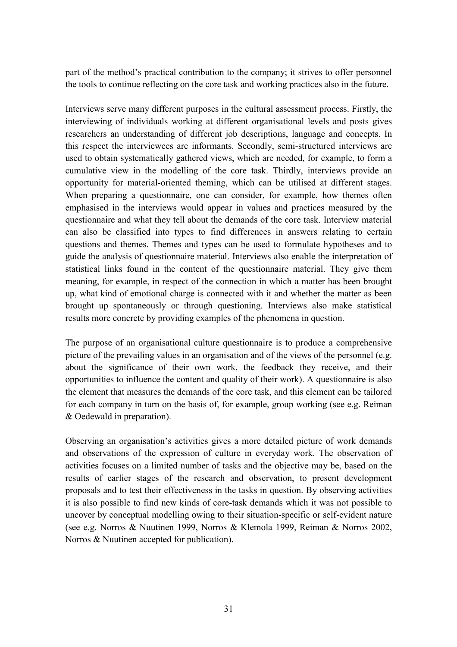part of the method's practical contribution to the company; it strives to offer personnel the tools to continue reflecting on the core task and working practices also in the future.

Interviews serve many different purposes in the cultural assessment process. Firstly, the interviewing of individuals working at different organisational levels and posts gives researchers an understanding of different job descriptions, language and concepts. In this respect the interviewees are informants. Secondly, semi-structured interviews are used to obtain systematically gathered views, which are needed, for example, to form a cumulative view in the modelling of the core task. Thirdly, interviews provide an opportunity for material-oriented theming, which can be utilised at different stages. When preparing a questionnaire, one can consider, for example, how themes often emphasised in the interviews would appear in values and practices measured by the questionnaire and what they tell about the demands of the core task. Interview material can also be classified into types to find differences in answers relating to certain questions and themes. Themes and types can be used to formulate hypotheses and to guide the analysis of questionnaire material. Interviews also enable the interpretation of statistical links found in the content of the questionnaire material. They give them meaning, for example, in respect of the connection in which a matter has been brought up, what kind of emotional charge is connected with it and whether the matter as been brought up spontaneously or through questioning. Interviews also make statistical results more concrete by providing examples of the phenomena in question.

The purpose of an organisational culture questionnaire is to produce a comprehensive picture of the prevailing values in an organisation and of the views of the personnel (e.g. about the significance of their own work, the feedback they receive, and their opportunities to influence the content and quality of their work). A questionnaire is also the element that measures the demands of the core task, and this element can be tailored for each company in turn on the basis of, for example, group working (see e.g. Reiman & Oedewald in preparation).

Observing an organisation's activities gives a more detailed picture of work demands and observations of the expression of culture in everyday work. The observation of activities focuses on a limited number of tasks and the objective may be, based on the results of earlier stages of the research and observation, to present development proposals and to test their effectiveness in the tasks in question. By observing activities it is also possible to find new kinds of core-task demands which it was not possible to uncover by conceptual modelling owing to their situation-specific or self-evident nature (see e.g. Norros & Nuutinen 1999, Norros & Klemola 1999, Reiman & Norros 2002, Norros & Nuutinen accepted for publication).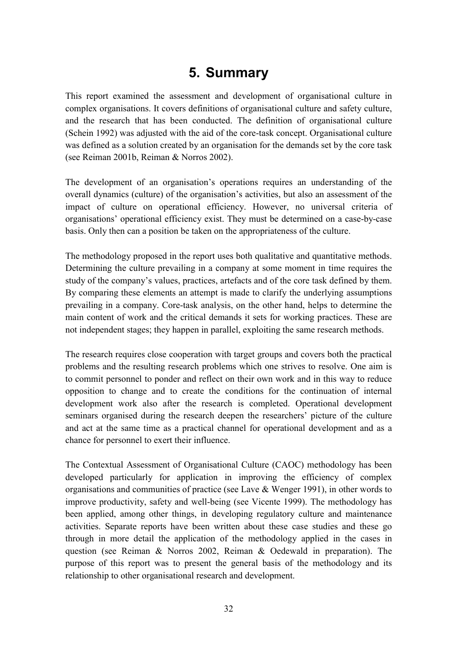# **5. Summary**

This report examined the assessment and development of organisational culture in complex organisations. It covers definitions of organisational culture and safety culture, and the research that has been conducted. The definition of organisational culture (Schein 1992) was adjusted with the aid of the core-task concept. Organisational culture was defined as a solution created by an organisation for the demands set by the core task (see Reiman 2001b, Reiman & Norros 2002).

The development of an organisation's operations requires an understanding of the overall dynamics (culture) of the organisation's activities, but also an assessment of the impact of culture on operational efficiency. However, no universal criteria of organisations' operational efficiency exist. They must be determined on a case-by-case basis. Only then can a position be taken on the appropriateness of the culture.

The methodology proposed in the report uses both qualitative and quantitative methods. Determining the culture prevailing in a company at some moment in time requires the study of the company's values, practices, artefacts and of the core task defined by them. By comparing these elements an attempt is made to clarify the underlying assumptions prevailing in a company. Core-task analysis, on the other hand, helps to determine the main content of work and the critical demands it sets for working practices. These are not independent stages; they happen in parallel, exploiting the same research methods.

The research requires close cooperation with target groups and covers both the practical problems and the resulting research problems which one strives to resolve. One aim is to commit personnel to ponder and reflect on their own work and in this way to reduce opposition to change and to create the conditions for the continuation of internal development work also after the research is completed. Operational development seminars organised during the research deepen the researchers' picture of the culture and act at the same time as a practical channel for operational development and as a chance for personnel to exert their influence.

The Contextual Assessment of Organisational Culture (CAOC) methodology has been developed particularly for application in improving the efficiency of complex organisations and communities of practice (see Lave & Wenger 1991), in other words to improve productivity, safety and well-being (see Vicente 1999). The methodology has been applied, among other things, in developing regulatory culture and maintenance activities. Separate reports have been written about these case studies and these go through in more detail the application of the methodology applied in the cases in question (see Reiman & Norros 2002, Reiman & Oedewald in preparation). The purpose of this report was to present the general basis of the methodology and its relationship to other organisational research and development.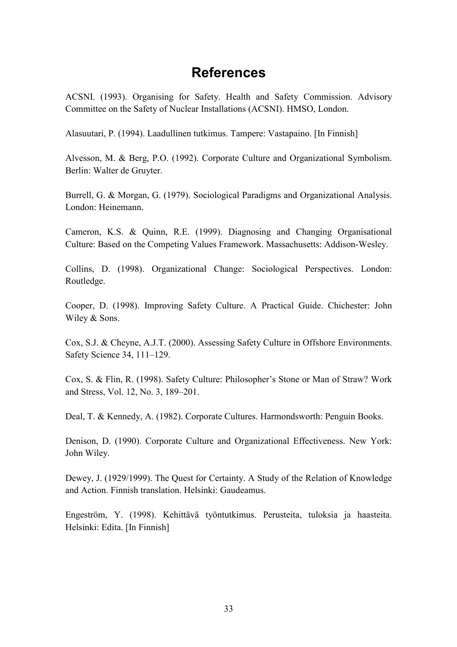# **References**

ACSNI. (1993). Organising for Safety. Health and Safety Commission. Advisory Committee on the Safety of Nuclear Installations (ACSNI). HMSO, London.

Alasuutari, P. (1994). Laadullinen tutkimus. Tampere: Vastapaino. [In Finnish]

Alvesson, M. & Berg, P.O. (1992). Corporate Culture and Organizational Symbolism. Berlin: Walter de Gruyter.

Burrell, G. & Morgan, G. (1979). Sociological Paradigms and Organizational Analysis. London: Heinemann.

Cameron, K.S. & Quinn, R.E. (1999). Diagnosing and Changing Organisational Culture: Based on the Competing Values Framework. Massachusetts: Addison-Wesley.

Collins, D. (1998). Organizational Change: Sociological Perspectives. London: Routledge.

Cooper, D. (1998). Improving Safety Culture. A Practical Guide. Chichester: John Wiley & Sons.

Cox, S.J. & Cheyne, A.J.T. (2000). Assessing Safety Culture in Offshore Environments. Safety Science 34, 111-129.

Cox, S. & Flin, R. (1998). Safety Culture: Philosopher's Stone or Man of Straw? Work and Stress, Vol. 12, No. 3, 189–201.

Deal, T. & Kennedy, A. (1982). Corporate Cultures. Harmondsworth: Penguin Books.

Denison, D. (1990). Corporate Culture and Organizational Effectiveness. New York: John Wiley.

Dewey, J. (1929/1999). The Quest for Certainty. A Study of the Relation of Knowledge and Action. Finnish translation. Helsinki: Gaudeamus.

Engeström, Y. (1998). Kehittävä työntutkimus. Perusteita, tuloksia ja haasteita. Helsinki: Edita. [In Finnish]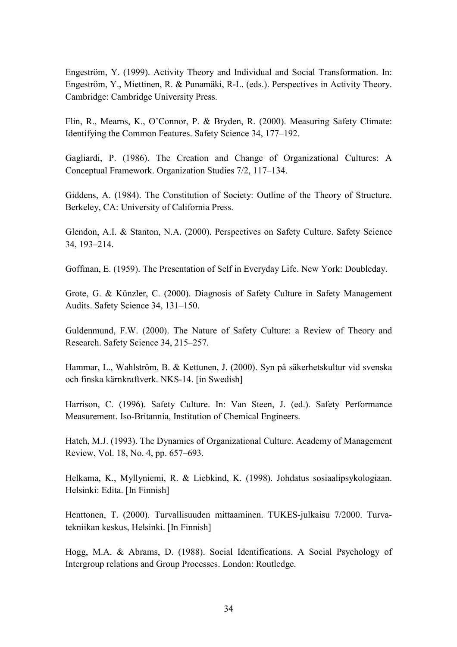Engeström, Y. (1999). Activity Theory and Individual and Social Transformation. In: Engeström, Y., Miettinen, R. & Punamäki, R-L. (eds.). Perspectives in Activity Theory. Cambridge: Cambridge University Press.

Flin, R., Mearns, K., O'Connor, P. & Bryden, R. (2000). Measuring Safety Climate: Identifying the Common Features. Safety Science 34, 177–192.

Gagliardi, P. (1986). The Creation and Change of Organizational Cultures: A Conceptual Framework. Organization Studies 7/2, 117-134.

Giddens, A. (1984). The Constitution of Society: Outline of the Theory of Structure. Berkeley, CA: University of California Press.

Glendon, A.I. & Stanton, N.A. (2000). Perspectives on Safety Culture. Safety Science 34, 193-214.

Goffman, E. (1959). The Presentation of Self in Everyday Life. New York: Doubleday.

Grote, G. & Künzler, C. (2000). Diagnosis of Safety Culture in Safety Management Audits. Safety Science 34, 131–150.

Guldenmund, F.W. (2000). The Nature of Safety Culture: a Review of Theory and Research. Safety Science 34, 215–257.

Hammar, L., Wahlström, B. & Kettunen, J. (2000). Syn på säkerhetskultur vid svenska och finska kärnkraftverk. NKS-14. [in Swedish]

Harrison, C. (1996). Safety Culture. In: Van Steen, J. (ed.). Safety Performance Measurement. Iso-Britannia, Institution of Chemical Engineers.

Hatch, M.J. (1993). The Dynamics of Organizational Culture. Academy of Management Review, Vol. 18, No. 4, pp. 657–693.

Helkama, K., Myllyniemi, R. & Liebkind, K. (1998). Johdatus sosiaalipsykologiaan. Helsinki: Edita. [In Finnish]

Henttonen, T. (2000). Turvallisuuden mittaaminen. TUKES-julkaisu 7/2000. Turvatekniikan keskus, Helsinki. [In Finnish]

Hogg, M.A. & Abrams, D. (1988). Social Identifications. A Social Psychology of Intergroup relations and Group Processes. London: Routledge.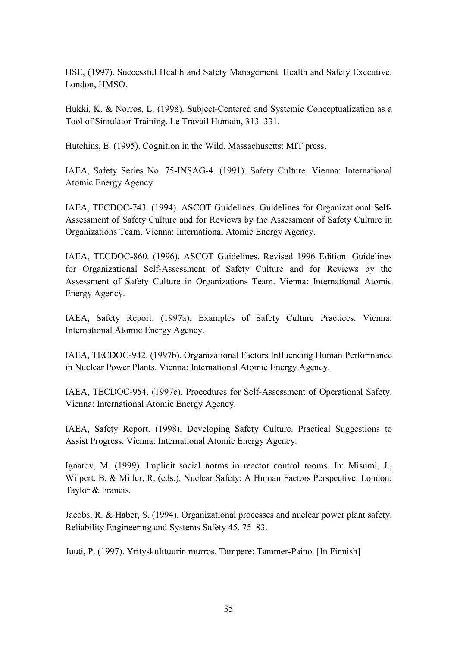HSE, (1997). Successful Health and Safety Management. Health and Safety Executive. London, HMSO.

Hukki, K. & Norros, L. (1998). Subject-Centered and Systemic Conceptualization as a Tool of Simulator Training. Le Travail Humain, 313–331.

Hutchins, E. (1995). Cognition in the Wild. Massachusetts: MIT press.

IAEA, Safety Series No. 75-INSAG-4. (1991). Safety Culture. Vienna: International Atomic Energy Agency.

IAEA, TECDOC-743. (1994). ASCOT Guidelines. Guidelines for Organizational Self-Assessment of Safety Culture and for Reviews by the Assessment of Safety Culture in Organizations Team. Vienna: International Atomic Energy Agency.

IAEA, TECDOC-860. (1996). ASCOT Guidelines. Revised 1996 Edition. Guidelines for Organizational Self-Assessment of Safety Culture and for Reviews by the Assessment of Safety Culture in Organizations Team. Vienna: International Atomic Energy Agency.

IAEA, Safety Report. (1997a). Examples of Safety Culture Practices. Vienna: International Atomic Energy Agency.

IAEA, TECDOC-942. (1997b). Organizational Factors Influencing Human Performance in Nuclear Power Plants. Vienna: International Atomic Energy Agency.

IAEA, TECDOC-954. (1997c). Procedures for Self-Assessment of Operational Safety. Vienna: International Atomic Energy Agency.

IAEA, Safety Report. (1998). Developing Safety Culture. Practical Suggestions to Assist Progress. Vienna: International Atomic Energy Agency.

Ignatov, M. (1999). Implicit social norms in reactor control rooms. In: Misumi, J., Wilpert, B. & Miller, R. (eds.). Nuclear Safety: A Human Factors Perspective. London: Taylor & Francis.

Jacobs, R. & Haber, S. (1994). Organizational processes and nuclear power plant safety. Reliability Engineering and Systems Safety 45, 75–83.

Juuti, P. (1997). Yrityskulttuurin murros. Tampere: Tammer-Paino. [In Finnish]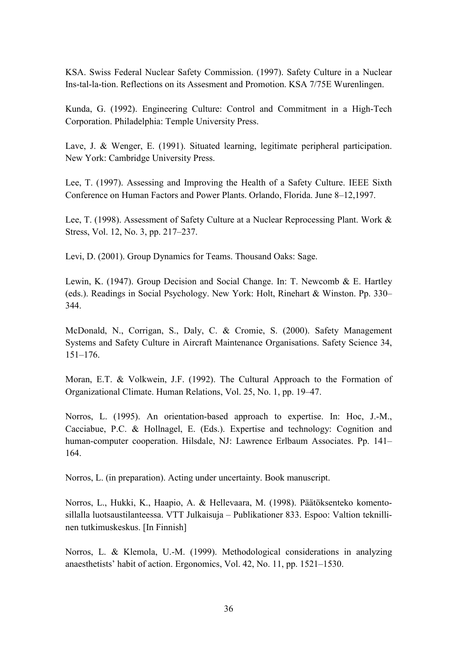KSA. Swiss Federal Nuclear Safety Commission. (1997). Safety Culture in a Nuclear Ins-tal-la-tion. Reflections on its Assesment and Promotion. KSA 7/75E Wurenlingen.

Kunda, G. (1992). Engineering Culture: Control and Commitment in a High-Tech Corporation. Philadelphia: Temple University Press.

Lave, J. & Wenger, E. (1991). Situated learning, legitimate peripheral participation. New York: Cambridge University Press.

Lee, T. (1997). Assessing and Improving the Health of a Safety Culture. IEEE Sixth Conference on Human Factors and Power Plants. Orlando, Florida. June 8-12,1997.

Lee, T. (1998). Assessment of Safety Culture at a Nuclear Reprocessing Plant. Work & Stress, Vol. 12, No. 3, pp. 217–237.

Levi, D. (2001). Group Dynamics for Teams. Thousand Oaks: Sage.

Lewin, K. (1947). Group Decision and Social Change. In: T. Newcomb & E. Hartley (eds.). Readings in Social Psychology. New York: Holt, Rinehart & Winston. Pp. 330– 344.

McDonald, N., Corrigan, S., Daly, C. & Cromie, S. (2000). Safety Management Systems and Safety Culture in Aircraft Maintenance Organisations. Safety Science 34,  $151 - 176.$ 

Moran, E.T. & Volkwein, J.F. (1992). The Cultural Approach to the Formation of Organizational Climate. Human Relations, Vol. 25, No. 1, pp. 19–47.

Norros, L. (1995). An orientation-based approach to expertise. In: Hoc, J.-M., Cacciabue, P.C. & Hollnagel, E. (Eds.). Expertise and technology: Cognition and human-computer cooperation. Hilsdale, NJ: Lawrence Erlbaum Associates. Pp. 141– 164.

Norros, L. (in preparation). Acting under uncertainty. Book manuscript.

Norros, L., Hukki, K., Haapio, A. & Hellevaara, M. (1998). Päätöksenteko komentosillalla luotsaustilanteessa. VTT Julkaisuja – Publikationer 833. Espoo: Valtion teknillinen tutkimuskeskus. [In Finnish]

Norros, L. & Klemola, U.-M. (1999). Methodological considerations in analyzing anaesthetists' habit of action. Ergonomics, Vol. 42, No. 11, pp. 1521–1530.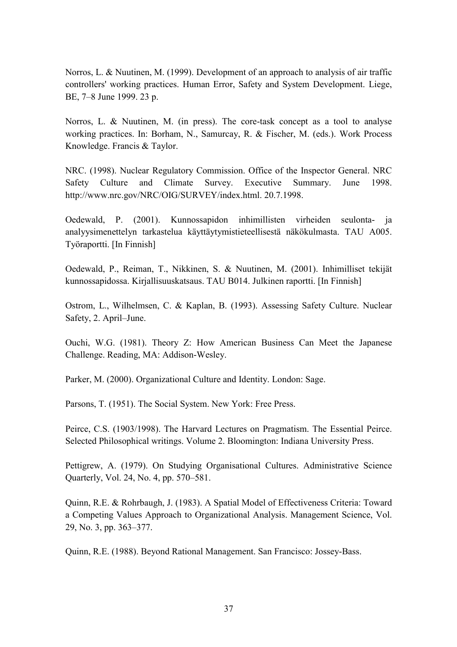Norros, L. & Nuutinen, M. (1999). Development of an approach to analysis of air traffic controllers' working practices. Human Error, Safety and System Development. Liege, BE, 7-8 June 1999. 23 p.

Norros, L. & Nuutinen, M. (in press). The core-task concept as a tool to analyse working practices. In: Borham, N., Samurcay, R. & Fischer, M. (eds.). Work Process Knowledge. Francis & Taylor.

NRC. (1998). Nuclear Regulatory Commission. Office of the Inspector General. NRC Safety Culture and Climate Survey. Executive Summary. June 1998. http://www.nrc.gov/NRC/OIG/SURVEY/index.html. 20.7.1998.

Oedewald, P. (2001). Kunnossapidon inhimillisten virheiden seulonta- ja analyysimenettelyn tarkastelua käyttäytymistieteellisestä näkökulmasta. TAU A005. Työraportti. [In Finnish]

Oedewald, P., Reiman, T., Nikkinen, S. & Nuutinen, M. (2001). Inhimilliset tekijät kunnossapidossa. Kirjallisuuskatsaus. TAU B014. Julkinen raportti. [In Finnish]

Ostrom, L., Wilhelmsen, C. & Kaplan, B. (1993). Assessing Safety Culture. Nuclear Safety, 2. April–June.

Ouchi, W.G. (1981). Theory Z: How American Business Can Meet the Japanese Challenge. Reading, MA: Addison-Wesley.

Parker, M. (2000). Organizational Culture and Identity. London: Sage.

Parsons, T. (1951). The Social System. New York: Free Press.

Peirce, C.S. (1903/1998). The Harvard Lectures on Pragmatism. The Essential Peirce. Selected Philosophical writings. Volume 2. Bloomington: Indiana University Press.

Pettigrew, A. (1979). On Studying Organisational Cultures. Administrative Science Quarterly, Vol. 24, No. 4, pp. 570–581.

Quinn, R.E. & Rohrbaugh, J. (1983). A Spatial Model of Effectiveness Criteria: Toward a Competing Values Approach to Organizational Analysis. Management Science, Vol. 29, No. 3, pp. 363–377.

Quinn, R.E. (1988). Beyond Rational Management. San Francisco: Jossey-Bass.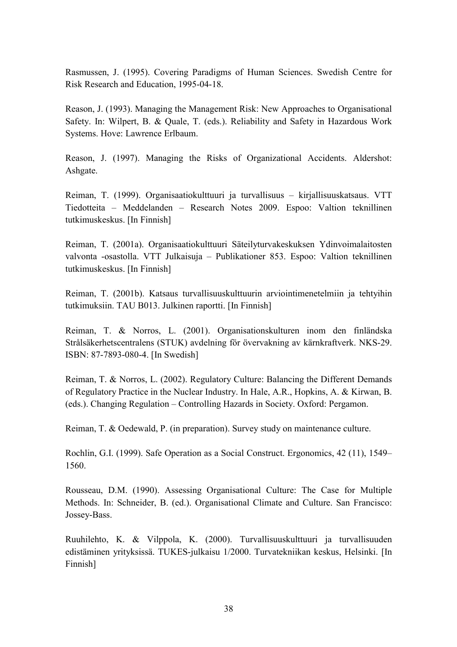Rasmussen, J. (1995). Covering Paradigms of Human Sciences. Swedish Centre for Risk Research and Education, 1995-04-18.

Reason, J. (1993). Managing the Management Risk: New Approaches to Organisational Safety. In: Wilpert, B. & Quale, T. (eds.). Reliability and Safety in Hazardous Work Systems. Hove: Lawrence Erlbaum.

Reason, J. (1997). Managing the Risks of Organizational Accidents. Aldershot: Ashgate.

Reiman, T. (1999). Organisaatiokulttuuri ja turvallisuus – kirjallisuuskatsaus. VTT Tiedotteita – Meddelanden – Research Notes 2009. Espoo: Valtion teknillinen tutkimuskeskus. [In Finnish]

Reiman, T. (2001a). Organisaatiokulttuuri Säteilyturvakeskuksen Ydinvoimalaitosten valvonta -osastolla. VTT Julkaisuja – Publikationer 853. Espoo: Valtion teknillinen tutkimuskeskus. [In Finnish]

Reiman, T. (2001b). Katsaus turvallisuuskulttuurin arviointimenetelmiin ja tehtyihin tutkimuksiin. TAU B013. Julkinen raportti. [In Finnish]

Reiman, T. & Norros, L. (2001). Organisationskulturen inom den finländska Strålsäkerhetscentralens (STUK) avdelning för övervakning av kärnkraftverk. NKS-29. ISBN: 87-7893-080-4. [In Swedish]

Reiman, T. & Norros, L. (2002). Regulatory Culture: Balancing the Different Demands of Regulatory Practice in the Nuclear Industry. In Hale, A.R., Hopkins, A. & Kirwan, B. (eds.). Changing Regulation – Controlling Hazards in Society. Oxford: Pergamon.

Reiman, T. & Oedewald, P. (in preparation). Survey study on maintenance culture.

Rochlin, G.I. (1999). Safe Operation as a Social Construct. Ergonomics, 42 (11), 1549– 1560.

Rousseau, D.M. (1990). Assessing Organisational Culture: The Case for Multiple Methods. In: Schneider, B. (ed.). Organisational Climate and Culture. San Francisco: Jossey-Bass.

Ruuhilehto, K. & Vilppola, K. (2000). Turvallisuuskulttuuri ja turvallisuuden edistäminen yrityksissä. TUKES-julkaisu 1/2000. Turvatekniikan keskus, Helsinki. [In Finnish]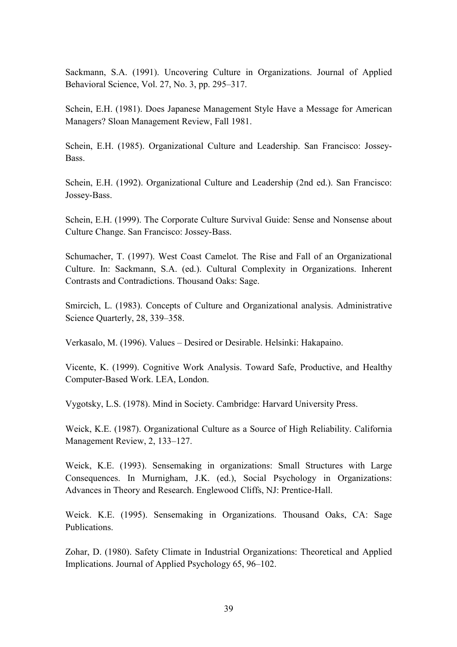Sackmann, S.A. (1991). Uncovering Culture in Organizations. Journal of Applied Behavioral Science, Vol.  $27$ , No.  $3$ , pp.  $295-317$ .

Schein, E.H. (1981). Does Japanese Management Style Have a Message for American Managers? Sloan Management Review, Fall 1981.

Schein, E.H. (1985). Organizational Culture and Leadership. San Francisco: Jossey-Bass.

Schein, E.H. (1992). Organizational Culture and Leadership (2nd ed.). San Francisco: Jossey-Bass.

Schein, E.H. (1999). The Corporate Culture Survival Guide: Sense and Nonsense about Culture Change. San Francisco: Jossey-Bass.

Schumacher, T. (1997). West Coast Camelot. The Rise and Fall of an Organizational Culture. In: Sackmann, S.A. (ed.). Cultural Complexity in Organizations. Inherent Contrasts and Contradictions. Thousand Oaks: Sage.

Smircich, L. (1983). Concepts of Culture and Organizational analysis. Administrative Science Quarterly, 28, 339–358.

Verkasalo, M. (1996). Values – Desired or Desirable. Helsinki: Hakapaino.

Vicente, K. (1999). Cognitive Work Analysis. Toward Safe, Productive, and Healthy Computer-Based Work. LEA, London.

Vygotsky, L.S. (1978). Mind in Society. Cambridge: Harvard University Press.

Weick, K.E. (1987). Organizational Culture as a Source of High Reliability. California Management Review, 2, 133–127.

Weick, K.E. (1993). Sensemaking in organizations: Small Structures with Large Consequences. In Murnigham, J.K. (ed.), Social Psychology in Organizations: Advances in Theory and Research. Englewood Cliffs, NJ: Prentice-Hall.

Weick. K.E. (1995). Sensemaking in Organizations. Thousand Oaks, CA: Sage Publications.

Zohar, D. (1980). Safety Climate in Industrial Organizations: Theoretical and Applied Implications. Journal of Applied Psychology 65, 96–102.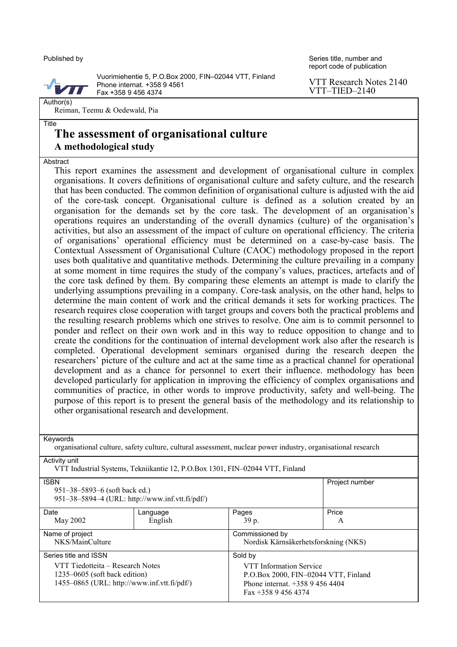#### Published by

Series title, number and report code of publication

Author(s)

Title

Vuorimiehentie 5, P.O.Box 2000, FIN-02044 VTT, Finland Phone internat. +358 9 4561 Fax +358 9 456 4374

VTT Research Notes 2140  $VTT-TIED-2140$ 

Reiman, Teemu & Oedewald, Pia

### **The assessment of organisational culture A methodological study**

#### Abstract

This report examines the assessment and development of organisational culture in complex organisations. It covers definitions of organisational culture and safety culture, and the research that has been conducted. The common definition of organisational culture is adjusted with the aid of the core-task concept. Organisational culture is defined as a solution created by an organisation for the demands set by the core task. The development of an organisation's operations requires an understanding of the overall dynamics (culture) of the organisation's activities, but also an assessment of the impact of culture on operational efficiency. The criteria of organisationsí operational efficiency must be determined on a case-by-case basis. The Contextual Assessment of Organisational Culture (CAOC) methodology proposed in the report uses both qualitative and quantitative methods. Determining the culture prevailing in a company at some moment in time requires the study of the company's values, practices, artefacts and of the core task defined by them. By comparing these elements an attempt is made to clarify the underlying assumptions prevailing in a company. Core-task analysis, on the other hand, helps to determine the main content of work and the critical demands it sets for working practices. The research requires close cooperation with target groups and covers both the practical problems and the resulting research problems which one strives to resolve. One aim is to commit personnel to ponder and reflect on their own work and in this way to reduce opposition to change and to create the conditions for the continuation of internal development work also after the research is completed. Operational development seminars organised during the research deepen the researchers' picture of the culture and act at the same time as a practical channel for operational development and as a chance for personnel to exert their influence. methodology has been developed particularly for application in improving the efficiency of complex organisations and communities of practice, in other words to improve productivity, safety and well-being. The purpose of this report is to present the general basis of the methodology and its relationship to other organisational research and development.

Keywords

organisational culture, safety culture, cultural assessment, nuclear power industry, organisational research Activity unit

VTT Industrial Systems, Tekniikantie 12, P.O.Box 1301, FIN-02044 VTT, Finland

| <b>ISBN</b><br>$951 - 38 - 5893 - 6$ (soft back ed.)<br>951-38-5894-4 (URL: http://www.inf.vtt.fi/pdf/)              | Project number      |                                                                                                                                |            |  |  |  |
|----------------------------------------------------------------------------------------------------------------------|---------------------|--------------------------------------------------------------------------------------------------------------------------------|------------|--|--|--|
| Date<br>May 2002                                                                                                     | Language<br>English | Pages<br>39 p.                                                                                                                 | Price<br>A |  |  |  |
| Name of project<br>NKS/MainCulture                                                                                   |                     | Commissioned by<br>Nordisk Kärnsäkerhetsforskning (NKS)                                                                        |            |  |  |  |
| Series title and ISSN                                                                                                |                     | Sold by                                                                                                                        |            |  |  |  |
| VTT Tiedotteita – Research Notes<br>$1235 - 0605$ (soft back edition)<br>1455-0865 (URL: http://www.inf.vtt.fi/pdf/) |                     | <b>VTT</b> Information Service<br>P.O.Box 2000, FIN-02044 VTT, Finland<br>Phone internat. $+35894564404$<br>Fax $+35894564374$ |            |  |  |  |